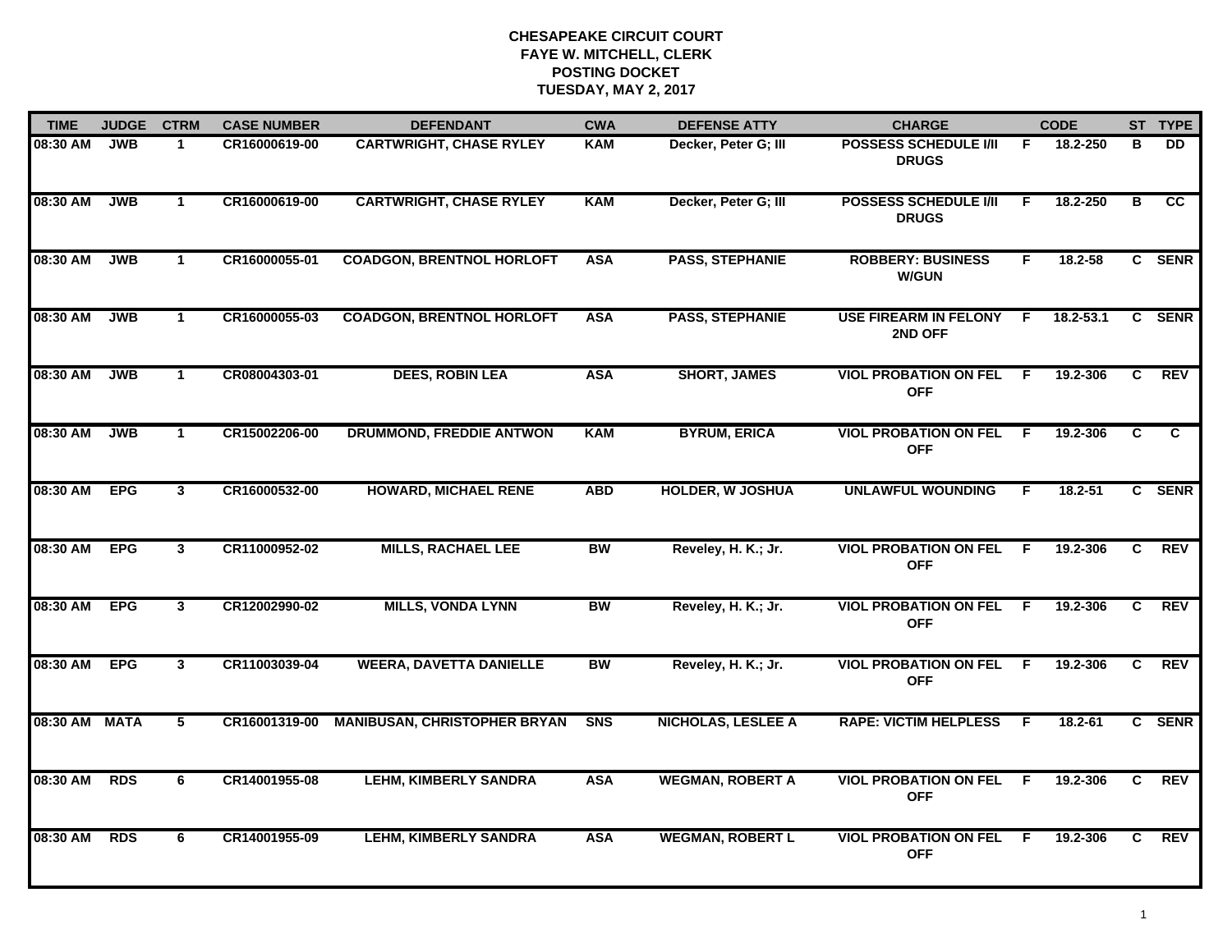| <b>TIME</b>   | <b>JUDGE</b> | <b>CTRM</b>    | <b>CASE NUMBER</b> | <b>DEFENDANT</b>                    | <b>CWA</b> | <b>DEFENSE ATTY</b>       | <b>CHARGE</b>                                |     | <b>CODE</b> |                | ST TYPE         |
|---------------|--------------|----------------|--------------------|-------------------------------------|------------|---------------------------|----------------------------------------------|-----|-------------|----------------|-----------------|
| 08:30 AM      | <b>JWB</b>   | $\mathbf 1$    | CR16000619-00      | <b>CARTWRIGHT, CHASE RYLEY</b>      | <b>KAM</b> | Decker, Peter G; III      | <b>POSSESS SCHEDULE I/II</b><br><b>DRUGS</b> | F.  | 18.2-250    | в              | DD.             |
| 08:30 AM      | <b>JWB</b>   | $\mathbf{1}$   | CR16000619-00      | <b>CARTWRIGHT, CHASE RYLEY</b>      | <b>KAM</b> | Decker, Peter G; III      | <b>POSSESS SCHEDULE I/II</b><br><b>DRUGS</b> | E   | 18.2-250    | в              | $\overline{cc}$ |
| 08:30 AM      | <b>JWB</b>   | $\mathbf{1}$   | CR16000055-01      | <b>COADGON, BRENTNOL HORLOFT</b>    | <b>ASA</b> | <b>PASS, STEPHANIE</b>    | <b>ROBBERY: BUSINESS</b><br><b>W/GUN</b>     | F.  | 18.2-58     |                | C SENR          |
| 08:30 AM      | <b>JWB</b>   | $\mathbf 1$    | CR16000055-03      | <b>COADGON, BRENTNOL HORLOFT</b>    | <b>ASA</b> | <b>PASS, STEPHANIE</b>    | <b>USE FIREARM IN FELONY</b><br>2ND OFF      | -F  | 18.2-53.1   |                | C SENR          |
| 08:30 AM      | <b>JWB</b>   | $\mathbf{1}$   | CR08004303-01      | <b>DEES, ROBIN LEA</b>              | <b>ASA</b> | <b>SHORT, JAMES</b>       | <b>VIOL PROBATION ON FEL</b><br><b>OFF</b>   | F.  | 19.2-306    | C.             | <b>REV</b>      |
| 08:30 AM      | <b>JWB</b>   | $\mathbf{1}$   | CR15002206-00      | <b>DRUMMOND, FREDDIE ANTWON</b>     | <b>KAM</b> | <b>BYRUM, ERICA</b>       | <b>VIOL PROBATION ON FEL</b><br><b>OFF</b>   | F.  | 19.2-306    | C.             | C               |
| 08:30 AM      | <b>EPG</b>   | $\mathbf{3}$   | CR16000532-00      | <b>HOWARD, MICHAEL RENE</b>         | <b>ABD</b> | <b>HOLDER, W JOSHUA</b>   | <b>UNLAWFUL WOUNDING</b>                     | F.  | 18.2-51     |                | C SENR          |
| 08:30 AM      | <b>EPG</b>   | $\mathbf{3}$   | CR11000952-02      | <b>MILLS, RACHAEL LEE</b>           | <b>BW</b>  | Reveley, H. K.; Jr.       | <b>VIOL PROBATION ON FEL</b><br><b>OFF</b>   | F.  | 19.2-306    | C              | REV             |
| 08:30 AM      | <b>EPG</b>   | $\mathbf{3}$   | CR12002990-02      | <b>MILLS, VONDA LYNN</b>            | <b>BW</b>  | Reveley, H. K.; Jr.       | <b>VIOL PROBATION ON FEL</b><br><b>OFF</b>   | -F  | 19.2-306    | C              | <b>REV</b>      |
| 08:30 AM      | <b>EPG</b>   | 3 <sup>1</sup> | CR11003039-04      | <b>WEERA, DAVETTA DANIELLE</b>      | <b>BW</b>  | Reveley, H. K.; Jr.       | <b>VIOL PROBATION ON FEL</b><br><b>OFF</b>   | -F  | 19.2-306    | C              | <b>REV</b>      |
| 08:30 AM MATA |              | 5              | CR16001319-00      | <b>MANIBUSAN, CHRISTOPHER BRYAN</b> | <b>SNS</b> | <b>NICHOLAS, LESLEE A</b> | <b>RAPE: VICTIM HELPLESS</b>                 | -F. | 18.2-61     |                | C SENR          |
| 08:30 AM      | <b>RDS</b>   | 6              | CR14001955-08      | <b>LEHM, KIMBERLY SANDRA</b>        | <b>ASA</b> | <b>WEGMAN, ROBERT A</b>   | <b>VIOL PROBATION ON FEL</b><br><b>OFF</b>   | F.  | 19.2-306    | $\overline{c}$ | <b>REV</b>      |
| 08:30 AM      | <b>RDS</b>   | 6              | CR14001955-09      | <b>LEHM, KIMBERLY SANDRA</b>        | <b>ASA</b> | <b>WEGMAN, ROBERT L</b>   | <b>VIOL PROBATION ON FEL</b><br><b>OFF</b>   | -F  | 19.2-306    | C.             | <b>REV</b>      |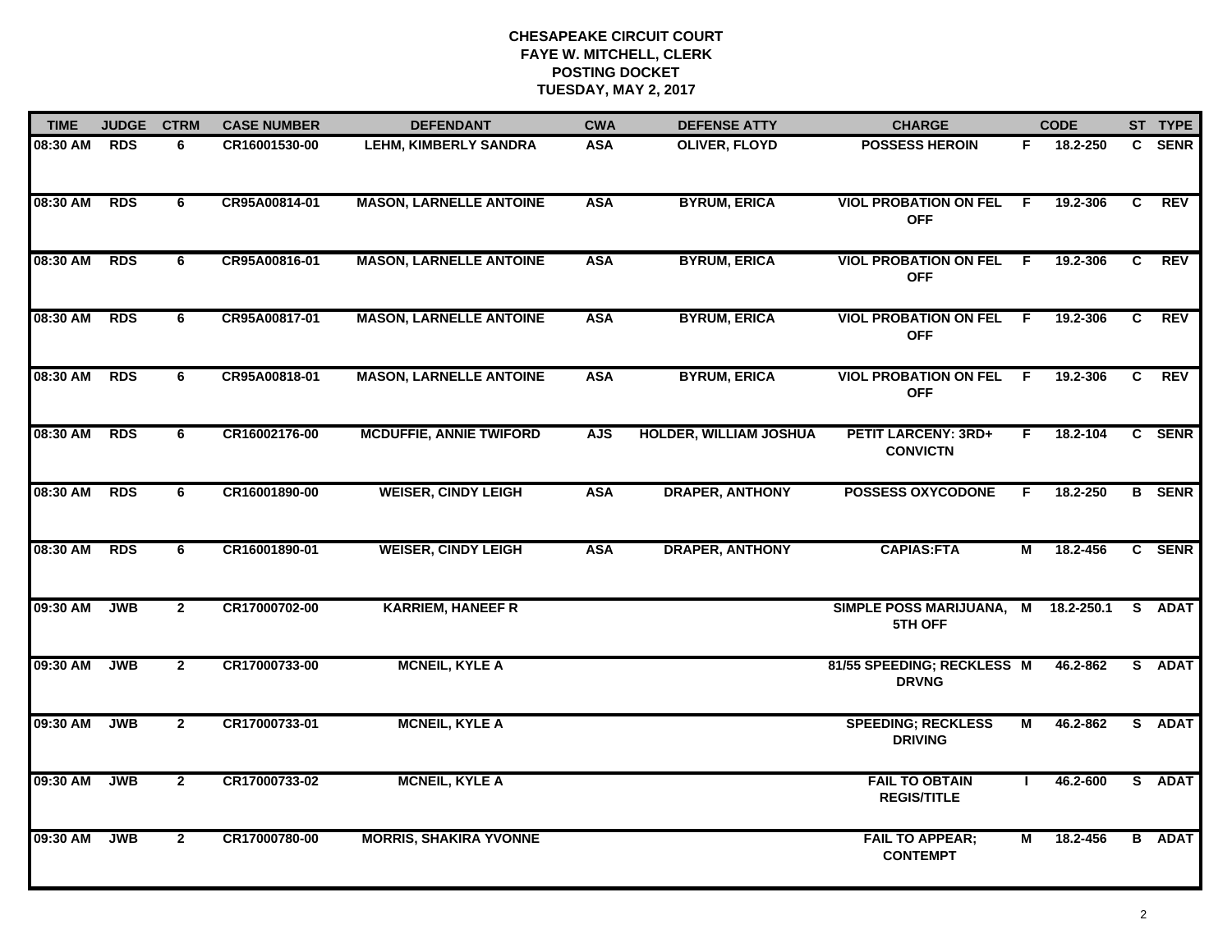| <b>TIME</b>  | <b>JUDGE</b> | <b>CTRM</b>    | <b>CASE NUMBER</b> | <b>DEFENDANT</b>               | <b>CWA</b> | <b>DEFENSE ATTY</b>           | <b>CHARGE</b>                                 |     | <b>CODE</b>  |              | ST TYPE       |
|--------------|--------------|----------------|--------------------|--------------------------------|------------|-------------------------------|-----------------------------------------------|-----|--------------|--------------|---------------|
| 08:30 AM RDS |              | 6              | CR16001530-00      | <b>LEHM, KIMBERLY SANDRA</b>   | <b>ASA</b> | OLIVER, FLOYD                 | <b>POSSESS HEROIN</b>                         | F.  | 18.2-250     | $\mathbf{C}$ | <b>SENR</b>   |
| 08:30 AM     | <b>RDS</b>   | 6              | CR95A00814-01      | <b>MASON, LARNELLE ANTOINE</b> | <b>ASA</b> | <b>BYRUM, ERICA</b>           | <b>VIOL PROBATION ON FEL</b><br><b>OFF</b>    | - F | 19.2-306     | C            | <b>REV</b>    |
| 08:30 AM     | <b>RDS</b>   | 6              | CR95A00816-01      | <b>MASON, LARNELLE ANTOINE</b> | <b>ASA</b> | <b>BYRUM, ERICA</b>           | <b>VIOL PROBATION ON FEL</b><br><b>OFF</b>    | - F | 19.2-306     | C            | <b>REV</b>    |
| 08:30 AM     | <b>RDS</b>   | 6              | CR95A00817-01      | <b>MASON, LARNELLE ANTOINE</b> | <b>ASA</b> | <b>BYRUM, ERICA</b>           | <b>VIOL PROBATION ON FEL</b><br><b>OFF</b>    | - F | 19.2-306     | C            | <b>REV</b>    |
| 08:30 AM     | <b>RDS</b>   | 6              | CR95A00818-01      | <b>MASON, LARNELLE ANTOINE</b> | <b>ASA</b> | <b>BYRUM, ERICA</b>           | <b>VIOL PROBATION ON FEL</b><br><b>OFF</b>    | -F  | 19.2-306     | C.           | <b>REV</b>    |
| 08:30 AM     | <b>RDS</b>   | 6              | CR16002176-00      | <b>MCDUFFIE, ANNIE TWIFORD</b> | <b>AJS</b> | <b>HOLDER, WILLIAM JOSHUA</b> | <b>PETIT LARCENY: 3RD+</b><br><b>CONVICTN</b> | F.  | 18.2-104     | C            | <b>SENR</b>   |
| 08:30 AM     | <b>RDS</b>   | 6              | CR16001890-00      | <b>WEISER, CINDY LEIGH</b>     | <b>ASA</b> | <b>DRAPER, ANTHONY</b>        | <b>POSSESS OXYCODONE</b>                      | F.  | 18.2-250     |              | <b>B</b> SENR |
| 08:30 AM     | <b>RDS</b>   | 6              | CR16001890-01      | <b>WEISER, CINDY LEIGH</b>     | <b>ASA</b> | <b>DRAPER, ANTHONY</b>        | <b>CAPIAS:FTA</b>                             | М   | 18.2-456     |              | C SENR        |
| 09:30 AM     | <b>JWB</b>   | $\mathbf{2}$   | CR17000702-00      | <b>KARRIEM, HANEEF R</b>       |            |                               | <b>SIMPLE POSS MARIJUANA,</b><br>5TH OFF      |     | M 18.2-250.1 |              | S ADAT        |
| 09:30 AM     | JWB          | $\overline{2}$ | CR17000733-00      | <b>MCNEIL, KYLE A</b>          |            |                               | 81/55 SPEEDING; RECKLESS M<br><b>DRVNG</b>    |     | 46.2-862     |              | S ADAT        |
| 09:30 AM     | <b>JWB</b>   | $\overline{2}$ | CR17000733-01      | <b>MCNEIL, KYLE A</b>          |            |                               | <b>SPEEDING; RECKLESS</b><br><b>DRIVING</b>   | М   | 46.2-862     |              | S ADAT        |
| 09:30 AM     | <b>JWB</b>   | $\overline{2}$ | CR17000733-02      | <b>MCNEIL, KYLE A</b>          |            |                               | <b>FAIL TO OBTAIN</b><br><b>REGIS/TITLE</b>   |     | 46.2-600     |              | S ADAT        |
| 09:30 AM     | <b>JWB</b>   | $\mathbf{2}$   | CR17000780-00      | <b>MORRIS, SHAKIRA YVONNE</b>  |            |                               | <b>FAIL TO APPEAR;</b><br><b>CONTEMPT</b>     | М   | 18.2-456     |              | <b>B</b> ADAT |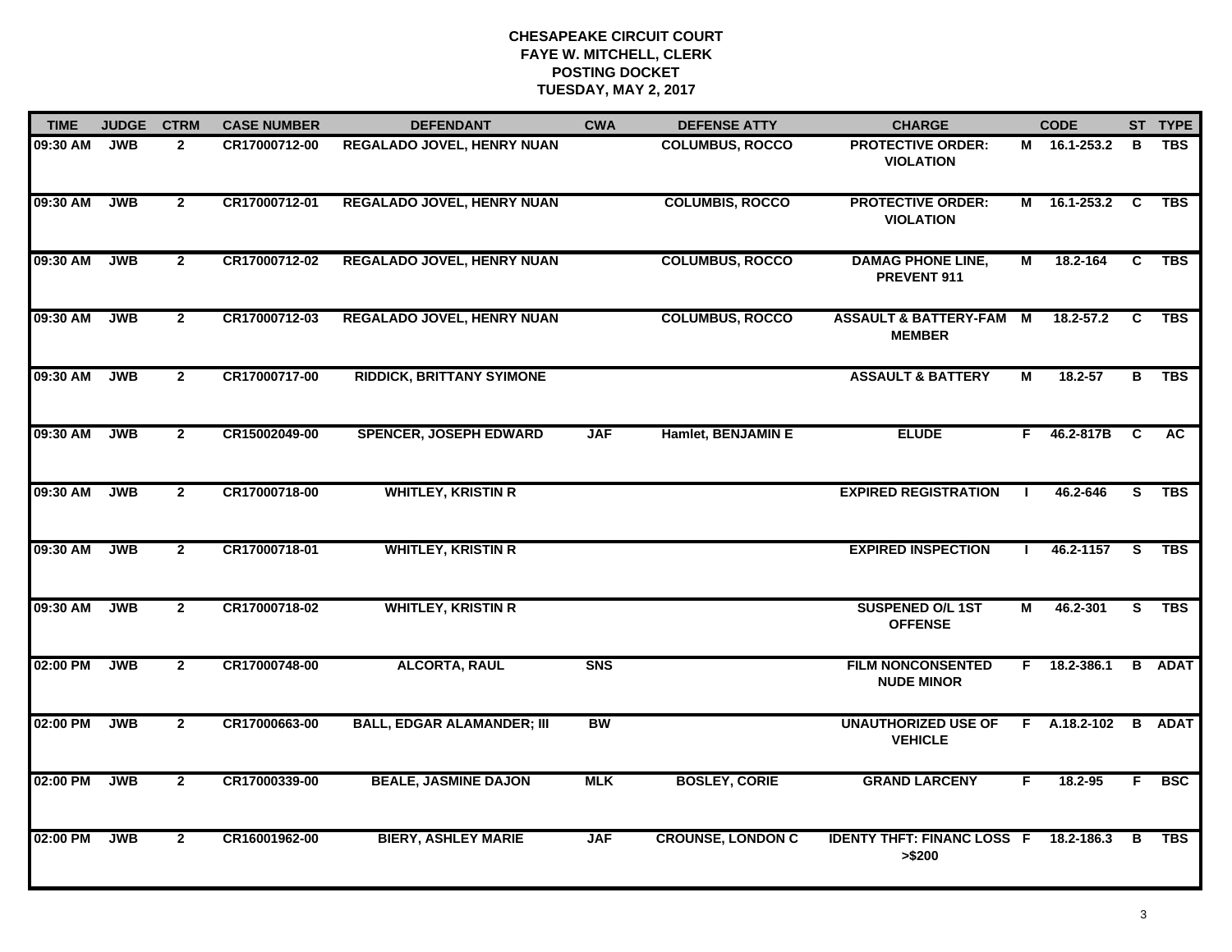| <b>TIME</b> | <b>JUDGE</b> | <b>CTRM</b>    | <b>CASE NUMBER</b> | <b>DEFENDANT</b>                  | <b>CWA</b>     | <b>DEFENSE ATTY</b>      | <b>CHARGE</b>                                           |    | <b>CODE</b>    |              | ST TYPE       |
|-------------|--------------|----------------|--------------------|-----------------------------------|----------------|--------------------------|---------------------------------------------------------|----|----------------|--------------|---------------|
| 09:30 AM    | <b>JWB</b>   | $\mathbf{2}$   | CR17000712-00      | <b>REGALADO JOVEL, HENRY NUAN</b> |                | <b>COLUMBUS, ROCCO</b>   | <b>PROTECTIVE ORDER:</b><br><b>VIOLATION</b>            |    | M 16.1-253.2   | в            | <b>TBS</b>    |
| 09:30 AM    | <b>JWB</b>   | $\overline{2}$ | CR17000712-01      | <b>REGALADO JOVEL, HENRY NUAN</b> |                | <b>COLUMBIS, ROCCO</b>   | <b>PROTECTIVE ORDER:</b><br><b>VIOLATION</b>            | М  | 16.1-253.2 C   |              | <b>TBS</b>    |
| 09:30 AM    | <b>JWB</b>   | $\mathbf{2}$   | CR17000712-02      | <b>REGALADO JOVEL, HENRY NUAN</b> |                | <b>COLUMBUS, ROCCO</b>   | <b>DAMAG PHONE LINE,</b><br>PREVENT 911                 | М  | 18.2-164       | C            | <b>TBS</b>    |
| 09:30 AM    | <b>JWB</b>   | $\mathbf{2}$   | CR17000712-03      | REGALADO JOVEL, HENRY NUAN        |                | <b>COLUMBUS, ROCCO</b>   | <b>ASSAULT &amp; BATTERY-FAM</b><br><b>MEMBER</b>       | M  | 18.2-57.2      | C            | <b>TBS</b>    |
| 09:30 AM    | <b>JWB</b>   | $\mathbf{2}$   | CR17000717-00      | <b>RIDDICK, BRITTANY SYIMONE</b>  |                |                          | <b>ASSAULT &amp; BATTERY</b>                            | М  | 18.2-57        | В            | <b>TBS</b>    |
| 09:30 AM    | <b>JWB</b>   | $\mathbf{2}$   | CR15002049-00      | <b>SPENCER, JOSEPH EDWARD</b>     | <b>JAF</b>     | Hamlet, BENJAMIN E       | <b>ELUDE</b>                                            | F. | 46.2-817B      | $\mathbf{C}$ | <b>AC</b>     |
| 09:30 AM    | <b>JWB</b>   | $\mathbf{2}$   | CR17000718-00      | <b>WHITLEY, KRISTIN R</b>         |                |                          | <b>EXPIRED REGISTRATION</b>                             |    | 46.2-646       | S            | TBS           |
| 09:30 AM    | <b>JWB</b>   | $\mathbf{2}$   | CR17000718-01      | <b>WHITLEY, KRISTIN R</b>         |                |                          | <b>EXPIRED INSPECTION</b>                               |    | 46.2-1157      | <b>S</b>     | TBS           |
| 09:30 AM    | <b>JWB</b>   | $\mathbf{2}$   | CR17000718-02      | <b>WHITLEY, KRISTIN R</b>         |                |                          | <b>SUSPENED O/L 1ST</b><br><b>OFFENSE</b>               | М  | 46.2-301       | S            | <b>TBS</b>    |
| 02:00 PM    | <b>JWB</b>   | $\mathbf{2}$   | CR17000748-00      | <b>ALCORTA, RAUL</b>              | S <sub>N</sub> |                          | <b>FILM NONCONSENTED</b><br><b>NUDE MINOR</b>           |    | $F$ 18.2-386.1 |              | <b>B</b> ADAT |
| 02:00 PM    | <b>JWB</b>   | $\mathbf{2}$   | CR17000663-00      | <b>BALL, EDGAR ALAMANDER; III</b> | <b>BW</b>      |                          | <b>UNAUTHORIZED USE OF</b><br><b>VEHICLE</b>            |    | F A.18.2-102   | $\mathbf{B}$ | <b>ADAT</b>   |
| 02:00 PM    | <b>JWB</b>   | $\overline{2}$ | CR17000339-00      | <b>BEALE, JASMINE DAJON</b>       | <b>MLK</b>     | <b>BOSLEY, CORIE</b>     | <b>GRAND LARCENY</b>                                    | F  | 18.2-95        | F            | <b>BSC</b>    |
| 02:00 PM    | <b>JWB</b>   | $\mathbf{2}$   | CR16001962-00      | <b>BIERY, ASHLEY MARIE</b>        | <b>JAF</b>     | <b>CROUNSE, LONDON C</b> | <b>IDENTY THFT: FINANC LOSS F 18.2-186.3</b><br>> \$200 |    |                | B            | <b>TBS</b>    |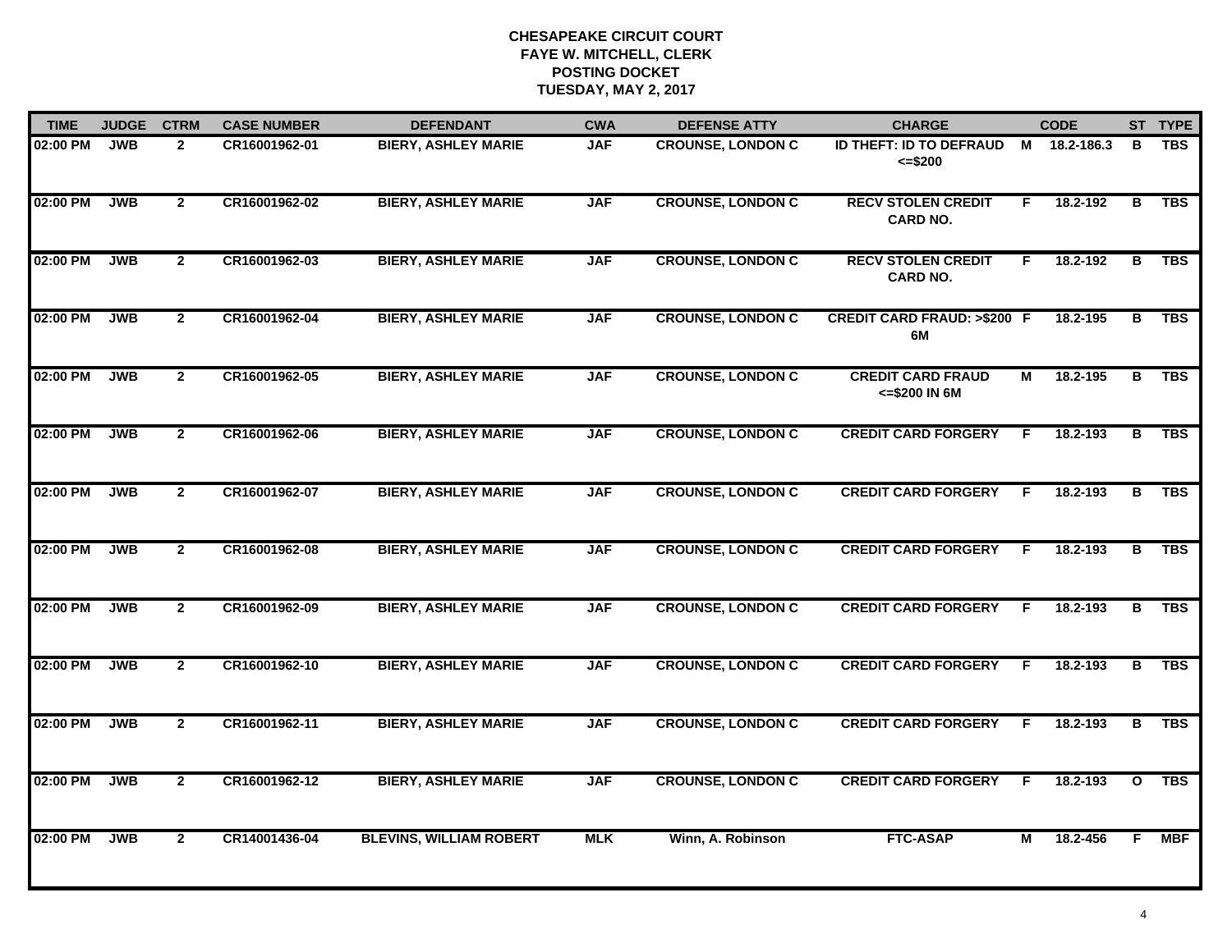| <b>TIME</b> | <b>JUDGE</b> | <b>CTRM</b>    | <b>CASE NUMBER</b> | <b>DEFENDANT</b>               | <b>CWA</b> | <b>DEFENSE ATTY</b>      | <b>CHARGE</b>                                |    | <b>CODE</b>  |                         | ST TYPE    |
|-------------|--------------|----------------|--------------------|--------------------------------|------------|--------------------------|----------------------------------------------|----|--------------|-------------------------|------------|
| 02:00 PM    | <b>JWB</b>   | $\overline{2}$ | CR16001962-01      | <b>BIERY, ASHLEY MARIE</b>     | <b>JAF</b> | <b>CROUNSE, LONDON C</b> | <b>ID THEFT: ID TO DEFRAUD</b><br>$= $200$   |    | M 18.2-186.3 | в                       | <b>TBS</b> |
| 02:00 PM    | <b>JWB</b>   | $\overline{2}$ | CR16001962-02      | <b>BIERY, ASHLEY MARIE</b>     | <b>JAF</b> | <b>CROUNSE, LONDON C</b> | <b>RECV STOLEN CREDIT</b><br><b>CARD NO.</b> | F. | 18.2-192     | В                       | <b>TBS</b> |
| 02:00 PM    | <b>JWB</b>   | $\mathbf{2}$   | CR16001962-03      | <b>BIERY, ASHLEY MARIE</b>     | <b>JAF</b> | <b>CROUNSE, LONDON C</b> | <b>RECV STOLEN CREDIT</b><br><b>CARD NO.</b> | F. | 18.2-192     | в                       | <b>TBS</b> |
| 02:00 PM    | <b>JWB</b>   | $\mathbf{2}$   | CR16001962-04      | <b>BIERY, ASHLEY MARIE</b>     | <b>JAF</b> | <b>CROUNSE, LONDON C</b> | <b>CREDIT CARD FRAUD: &gt;\$200 F</b><br>6M  |    | 18.2-195     | в                       | <b>TBS</b> |
| 02:00 PM    | <b>JWB</b>   | $\overline{2}$ | CR16001962-05      | <b>BIERY, ASHLEY MARIE</b>     | <b>JAF</b> | <b>CROUNSE, LONDON C</b> | <b>CREDIT CARD FRAUD</b><br><= \$200 IN 6M   | М  | 18.2-195     | в                       | <b>TBS</b> |
| 02:00 PM    | <b>JWB</b>   | $\mathbf{2}$   | CR16001962-06      | <b>BIERY, ASHLEY MARIE</b>     | <b>JAF</b> | <b>CROUNSE, LONDON C</b> | <b>CREDIT CARD FORGERY</b>                   | F. | 18.2-193     | В                       | <b>TBS</b> |
| 02:00 PM    | <b>JWB</b>   | $\overline{2}$ | CR16001962-07      | <b>BIERY, ASHLEY MARIE</b>     | <b>JAF</b> | <b>CROUNSE, LONDON C</b> | <b>CREDIT CARD FORGERY</b>                   | F. | 18.2-193     | $\overline{\mathbf{B}}$ | <b>TBS</b> |
| 02:00 PM    | <b>JWB</b>   | $\overline{2}$ | CR16001962-08      | <b>BIERY, ASHLEY MARIE</b>     | <b>JAF</b> | <b>CROUNSE, LONDON C</b> | <b>CREDIT CARD FORGERY</b>                   | F  | 18.2-193     | В                       | <b>TBS</b> |
| 02:00 PM    | <b>JWB</b>   | $\mathbf{2}$   | CR16001962-09      | <b>BIERY, ASHLEY MARIE</b>     | <b>JAF</b> | <b>CROUNSE, LONDON C</b> | <b>CREDIT CARD FORGERY</b>                   | E  | 18.2-193     | в                       | <b>TBS</b> |
| 02:00 PM    | <b>JWB</b>   | $\overline{2}$ | CR16001962-10      | <b>BIERY, ASHLEY MARIE</b>     | <b>JAF</b> | <b>CROUNSE, LONDON C</b> | <b>CREDIT CARD FORGERY</b>                   | F  | 18.2-193     | в                       | <b>TBS</b> |
| 02:00 PM    | <b>JWB</b>   | $\mathbf{2}$   | CR16001962-11      | <b>BIERY, ASHLEY MARIE</b>     | <b>JAF</b> | <b>CROUNSE, LONDON C</b> | <b>CREDIT CARD FORGERY</b>                   | F. | 18.2-193     | в                       | <b>TBS</b> |
| 02:00 PM    | <b>JWB</b>   | $\overline{2}$ | CR16001962-12      | <b>BIERY, ASHLEY MARIE</b>     | <b>JAF</b> | <b>CROUNSE, LONDON C</b> | <b>CREDIT CARD FORGERY</b>                   | F. | 18.2-193     | $\mathbf{o}$            | <b>TBS</b> |
| 02:00 PM    | <b>JWB</b>   | $\mathbf{2}$   | CR14001436-04      | <b>BLEVINS, WILLIAM ROBERT</b> | <b>MLK</b> | Winn, A. Robinson        | <b>FTC-ASAP</b>                              | М  | 18.2-456     | F                       | <b>MBF</b> |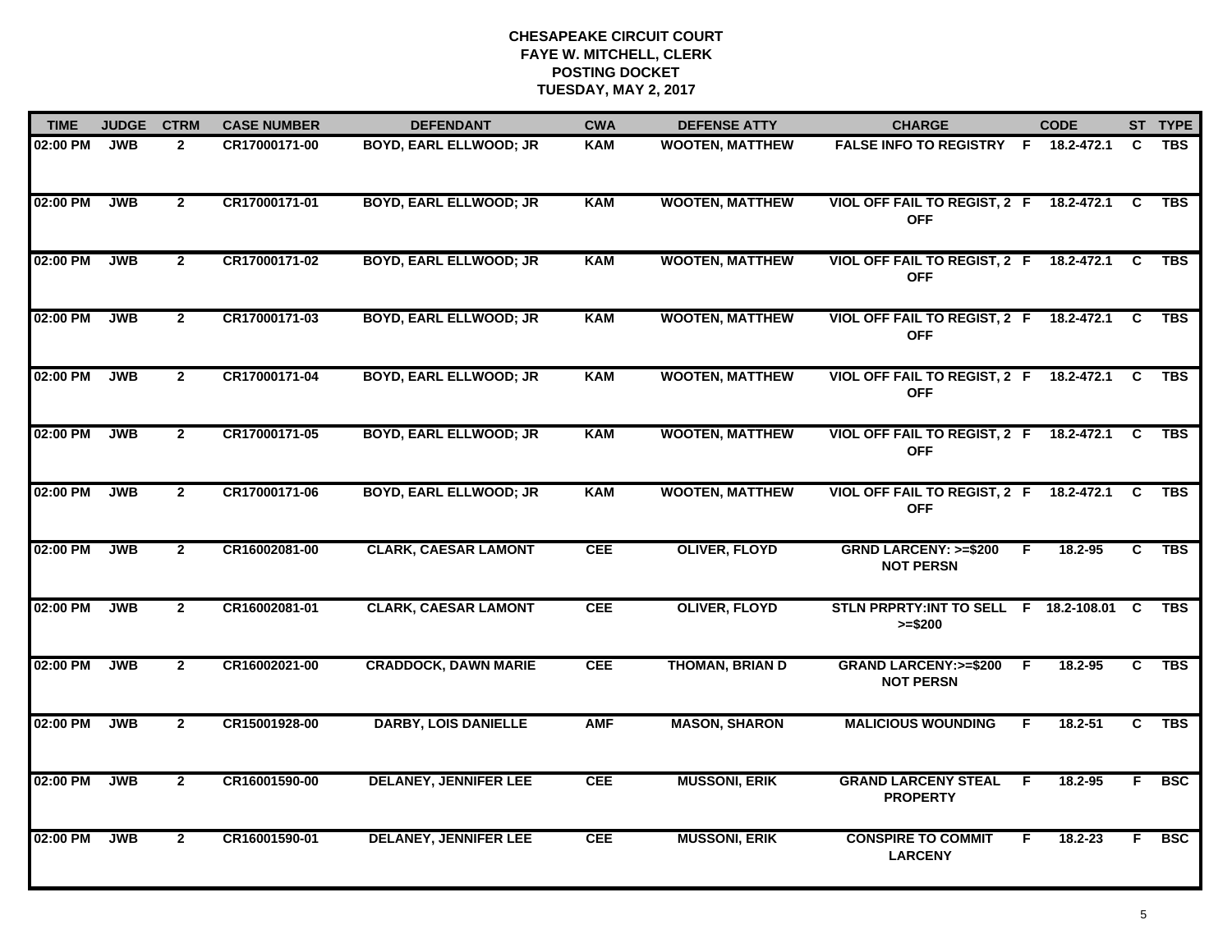| <b>TIME</b> | <b>JUDGE</b> | <b>CTRM</b>    | <b>CASE NUMBER</b> | <b>DEFENDANT</b>              | <b>CWA</b> | <b>DEFENSE ATTY</b>    | <b>CHARGE</b>                                           |    | <b>CODE</b>  |          | ST TYPE    |
|-------------|--------------|----------------|--------------------|-------------------------------|------------|------------------------|---------------------------------------------------------|----|--------------|----------|------------|
| 02:00 PM    | <b>JWB</b>   | $\overline{2}$ | CR17000171-00      | BOYD, EARL ELLWOOD; JR        | <b>KAM</b> | <b>WOOTEN, MATTHEW</b> | <b>FALSE INFO TO REGISTRY F</b>                         |    | 18.2-472.1   | C        | <b>TBS</b> |
| 02:00 PM    | <b>JWB</b>   | $\overline{2}$ | CR17000171-01      | <b>BOYD, EARL ELLWOOD; JR</b> | <b>KAM</b> | <b>WOOTEN, MATTHEW</b> | VIOL OFF FAIL TO REGIST, 2 F<br><b>OFF</b>              |    | 18.2-472.1 C |          | <b>TBS</b> |
| 02:00 PM    | <b>JWB</b>   | $\overline{2}$ | CR17000171-02      | <b>BOYD, EARL ELLWOOD; JR</b> | <b>KAM</b> | <b>WOOTEN, MATTHEW</b> | <b>VIOL OFF FAIL TO REGIST, 2 F</b><br><b>OFF</b>       |    | 18.2-472.1   | C        | <b>TBS</b> |
| 02:00 PM    | <b>JWB</b>   | $\mathbf{2}$   | CR17000171-03      | <b>BOYD, EARL ELLWOOD; JR</b> | <b>KAM</b> | <b>WOOTEN, MATTHEW</b> | VIOL OFF FAIL TO REGIST, 2 F<br><b>OFF</b>              |    | 18.2-472.1   | C.       | <b>TBS</b> |
| 02:00 PM    | <b>JWB</b>   | $\mathbf{2}$   | CR17000171-04      | <b>BOYD, EARL ELLWOOD; JR</b> | <b>KAM</b> | <b>WOOTEN, MATTHEW</b> | VIOL OFF FAIL TO REGIST, 2 F 18.2-472.1 C<br><b>OFF</b> |    |              |          | <b>TBS</b> |
| 02:00 PM    | <b>JWB</b>   | $\overline{2}$ | CR17000171-05      | <b>BOYD, EARL ELLWOOD; JR</b> | <b>KAM</b> | <b>WOOTEN, MATTHEW</b> | <b>VIOL OFF FAIL TO REGIST, 2 F</b><br><b>OFF</b>       |    | 18.2-472.1   | C        | <b>TBS</b> |
| 02:00 PM    | <b>JWB</b>   | $\overline{2}$ | CR17000171-06      | <b>BOYD, EARL ELLWOOD; JR</b> | <b>KAM</b> | <b>WOOTEN, MATTHEW</b> | <b>VIOL OFF FAIL TO REGIST, 2 F</b><br><b>OFF</b>       |    | 18.2-472.1   | <b>C</b> | <b>TBS</b> |
| 02:00 PM    | <b>JWB</b>   | $\overline{2}$ | CR16002081-00      | <b>CLARK, CAESAR LAMONT</b>   | <b>CEE</b> | <b>OLIVER, FLOYD</b>   | <b>GRND LARCENY: &gt;=\$200</b><br><b>NOT PERSN</b>     | E  | 18.2-95      | C        | <b>TBS</b> |
| 02:00 PM    | <b>JWB</b>   | $\overline{2}$ | CR16002081-01      | <b>CLARK, CAESAR LAMONT</b>   | <b>CEE</b> | <b>OLIVER, FLOYD</b>   | STLN PRPRTY: INT TO SELL F 18.2-108.01<br>$>= $200$     |    |              | C.       | <b>TBS</b> |
| 02:00 PM    | <b>JWB</b>   | $\mathbf{2}$   | CR16002021-00      | <b>CRADDOCK, DAWN MARIE</b>   | <b>CEE</b> | <b>THOMAN, BRIAN D</b> | <b>GRAND LARCENY: &gt;=\$200</b><br><b>NOT PERSN</b>    | F. | $18.2 - 95$  | C.       | <b>TBS</b> |
| 02:00 PM    | <b>JWB</b>   | $\mathbf{2}$   | CR15001928-00      | <b>DARBY, LOIS DANIELLE</b>   | <b>AMF</b> | <b>MASON, SHARON</b>   | <b>MALICIOUS WOUNDING</b>                               | F. | 18.2-51      | C.       | <b>TBS</b> |
| 02:00 PM    | <b>JWB</b>   | $\mathbf{2}$   | CR16001590-00      | <b>DELANEY, JENNIFER LEE</b>  | <b>CEE</b> | <b>MUSSONI, ERIK</b>   | <b>GRAND LARCENY STEAL</b><br><b>PROPERTY</b>           | F. | 18.2-95      | F.       | <b>BSC</b> |
| 02:00 PM    | <b>JWB</b>   | $\overline{2}$ | CR16001590-01      | <b>DELANEY, JENNIFER LEE</b>  | <b>CEE</b> | <b>MUSSONI, ERIK</b>   | <b>CONSPIRE TO COMMIT</b><br><b>LARCENY</b>             | F. | $18.2 - 23$  | F.       | <b>BSC</b> |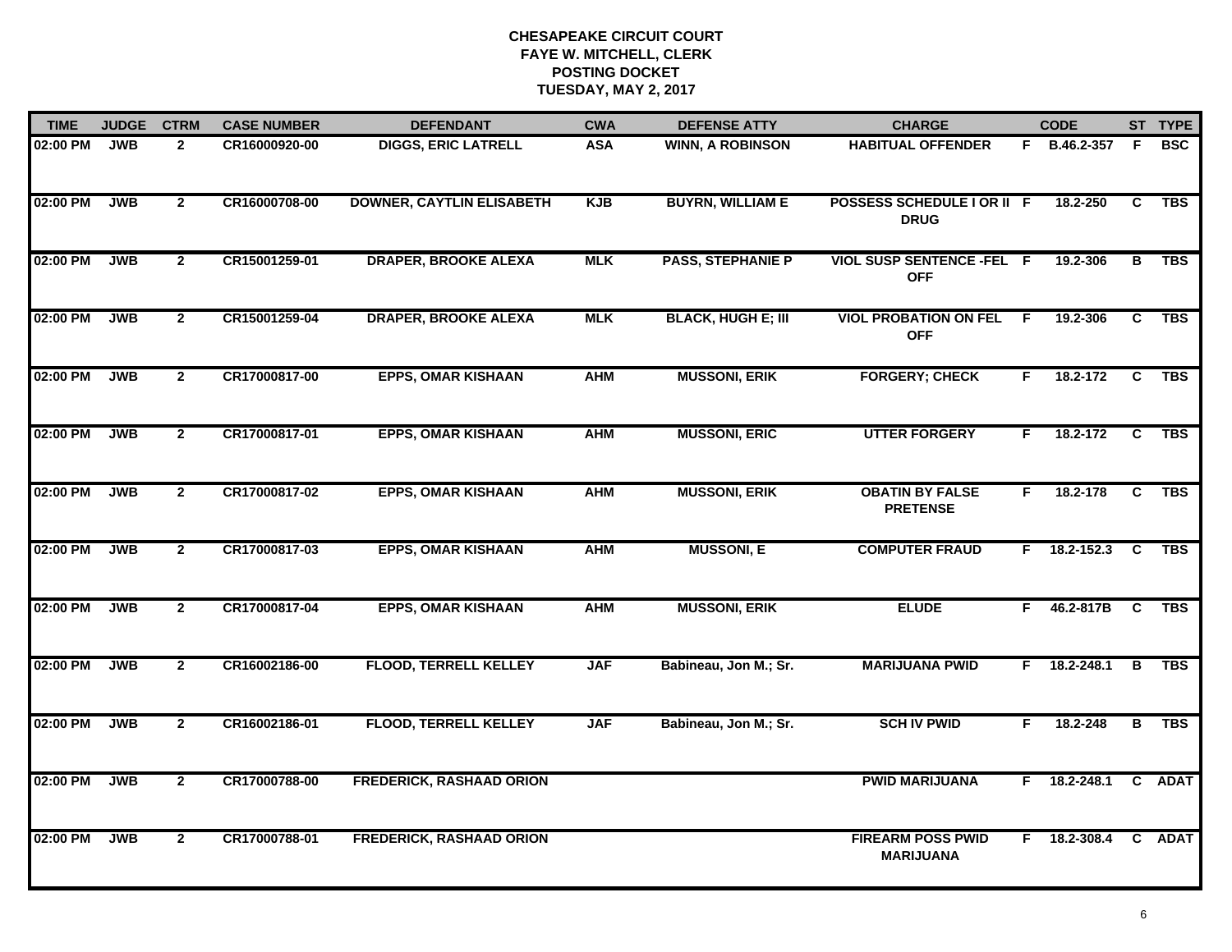| <b>TIME</b> | <b>JUDGE</b> | <b>CTRM</b>    | <b>CASE NUMBER</b> | <b>DEFENDANT</b>                 | <b>CWA</b> | <b>DEFENSE ATTY</b>       | <b>CHARGE</b>                                |    | <b>CODE</b>    |    | ST TYPE    |
|-------------|--------------|----------------|--------------------|----------------------------------|------------|---------------------------|----------------------------------------------|----|----------------|----|------------|
| 02:00 PM    | <b>JWB</b>   | $\mathbf{2}$   | CR16000920-00      | <b>DIGGS, ERIC LATRELL</b>       | <b>ASA</b> | <b>WINN, A ROBINSON</b>   | <b>HABITUAL OFFENDER</b>                     |    | F B.46.2-357   | F. | <b>BSC</b> |
| 02:00 PM    | <b>JWB</b>   | $\overline{2}$ | CR16000708-00      | <b>DOWNER, CAYTLIN ELISABETH</b> | <b>KJB</b> | <b>BUYRN, WILLIAM E</b>   | POSSESS SCHEDULE I OR II F<br><b>DRUG</b>    |    | 18.2-250       | C  | <b>TBS</b> |
| 02:00 PM    | <b>JWB</b>   | $\overline{2}$ | CR15001259-01      | <b>DRAPER, BROOKE ALEXA</b>      | <b>MLK</b> | <b>PASS, STEPHANIE P</b>  | VIOL SUSP SENTENCE -FEL F<br><b>OFF</b>      |    | 19.2-306       | в  | <b>TBS</b> |
| 02:00 PM    | <b>JWB</b>   | $\mathbf{2}$   | CR15001259-04      | <b>DRAPER, BROOKE ALEXA</b>      | <b>MLK</b> | <b>BLACK, HUGH E; III</b> | <b>VIOL PROBATION ON FEL</b><br><b>OFF</b>   | -F | 19.2-306       | C  | <b>TBS</b> |
| 02:00 PM    | <b>JWB</b>   | $\mathbf{2}$   | CR17000817-00      | <b>EPPS, OMAR KISHAAN</b>        | <b>AHM</b> | <b>MUSSONI, ERIK</b>      | <b>FORGERY; CHECK</b>                        | F. | 18.2-172       | C  | <b>TBS</b> |
| 02:00 PM    | <b>JWB</b>   | $\overline{2}$ | CR17000817-01      | <b>EPPS, OMAR KISHAAN</b>        | <b>AHM</b> | <b>MUSSONI, ERIC</b>      | <b>UTTER FORGERY</b>                         | F. | 18.2-172       | C  | <b>TBS</b> |
| 02:00 PM    | <b>JWB</b>   | $\mathbf{2}$   | CR17000817-02      | <b>EPPS, OMAR KISHAAN</b>        | <b>AHM</b> | <b>MUSSONI, ERIK</b>      | <b>OBATIN BY FALSE</b><br><b>PRETENSE</b>    | F. | 18.2-178       | C  | TBS        |
| 02:00 PM    | <b>JWB</b>   | $\mathbf{2}$   | CR17000817-03      | <b>EPPS, OMAR KISHAAN</b>        | <b>AHM</b> | <b>MUSSONI, E</b>         | <b>COMPUTER FRAUD</b>                        |    | $F$ 18.2-152.3 | C  | <b>TBS</b> |
| 02:00 PM    | <b>JWB</b>   | $\mathbf{2}$   | CR17000817-04      | <b>EPPS, OMAR KISHAAN</b>        | <b>AHM</b> | <b>MUSSONI, ERIK</b>      | <b>ELUDE</b>                                 | F. | 46.2-817B      | C  | <b>TBS</b> |
| 02:00 PM    | <b>JWB</b>   | $\overline{2}$ | CR16002186-00      | <b>FLOOD, TERRELL KELLEY</b>     | <b>JAF</b> | Babineau, Jon M.; Sr.     | <b>MARIJUANA PWID</b>                        |    | $F$ 18.2-248.1 | В  | <b>TBS</b> |
| 02:00 PM    | <b>JWB</b>   | $\overline{2}$ | CR16002186-01      | <b>FLOOD, TERRELL KELLEY</b>     | <b>JAF</b> | Babineau, Jon M.; Sr.     | <b>SCH IV PWID</b>                           | F. | 18.2-248       | В  | TBS        |
| 02:00 PM    | <b>JWB</b>   | $\overline{2}$ | CR17000788-00      | <b>FREDERICK, RASHAAD ORION</b>  |            |                           | <b>PWID MARIJUANA</b>                        |    | $F$ 18.2-248.1 |    | C ADAT     |
| 02:00 PM    | <b>JWB</b>   | $\mathbf{2}$   | CR17000788-01      | <b>FREDERICK, RASHAAD ORION</b>  |            |                           | <b>FIREARM POSS PWID</b><br><b>MARIJUANA</b> |    | F 18.2-308.4   |    | C ADAT     |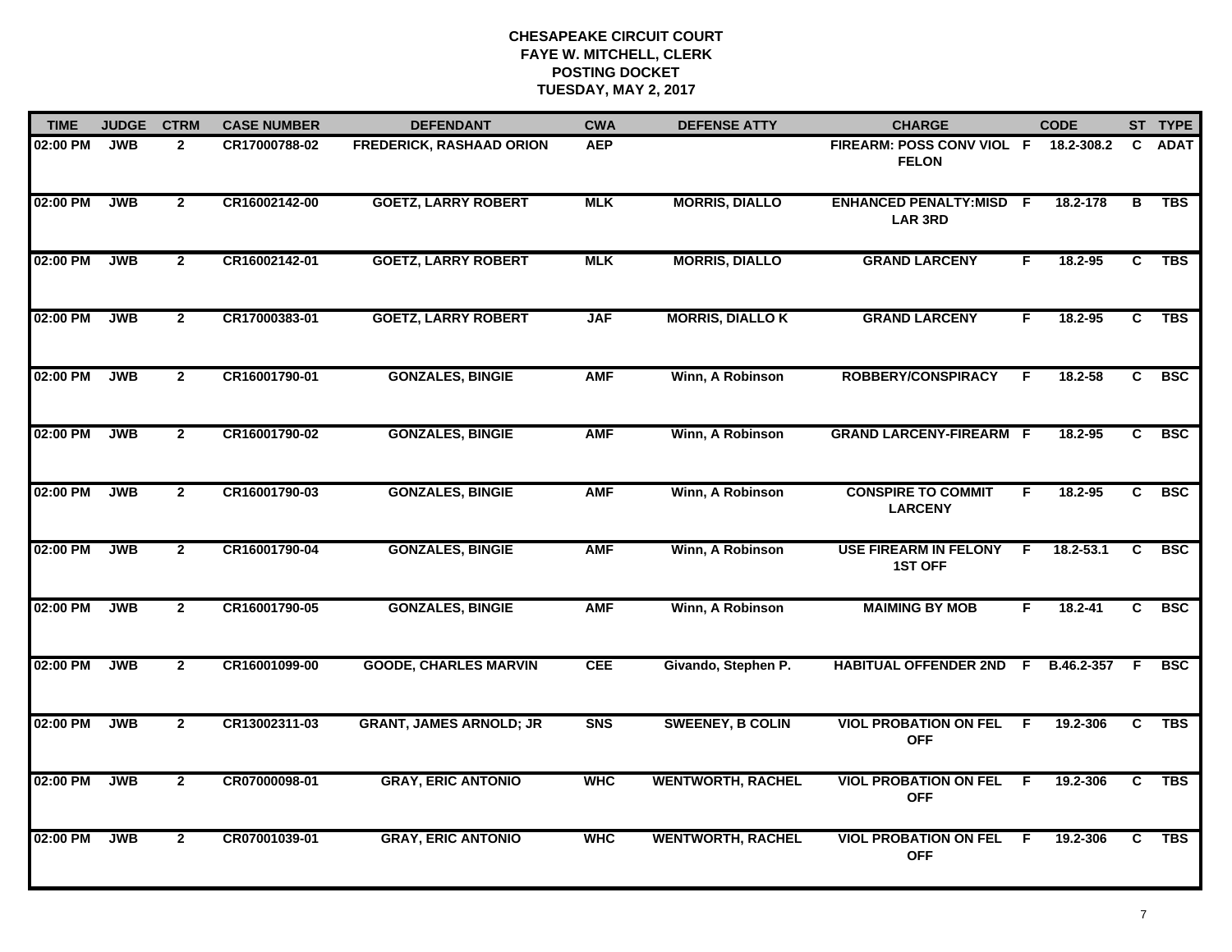| <b>TIME</b> | <b>JUDGE</b> | <b>CTRM</b>    | <b>CASE NUMBER</b> | <b>DEFENDANT</b>                | <b>CWA</b> | <b>DEFENSE ATTY</b>      | <b>CHARGE</b>                                    |    | <b>CODE</b>   |                | ST TYPE     |
|-------------|--------------|----------------|--------------------|---------------------------------|------------|--------------------------|--------------------------------------------------|----|---------------|----------------|-------------|
| 02:00 PM    | <b>JWB</b>   | $\mathbf{2}$   | CR17000788-02      | <b>FREDERICK, RASHAAD ORION</b> | <b>AEP</b> |                          | FIREARM: POSS CONV VIOL F<br><b>FELON</b>        |    | 18.2-308.2    | C.             | <b>ADAT</b> |
| 02:00 PM    | <b>JWB</b>   | $\overline{2}$ | CR16002142-00      | <b>GOETZ, LARRY ROBERT</b>      | <b>MLK</b> | <b>MORRIS, DIALLO</b>    | <b>ENHANCED PENALTY:MISD F</b><br><b>LAR 3RD</b> |    | 18.2-178      | в              | <b>TBS</b>  |
| 02:00 PM    | <b>JWB</b>   | $\overline{2}$ | CR16002142-01      | <b>GOETZ, LARRY ROBERT</b>      | <b>MLK</b> | <b>MORRIS, DIALLO</b>    | <b>GRAND LARCENY</b>                             | F  | 18.2-95       | C.             | <b>TBS</b>  |
| 02:00 PM    | <b>JWB</b>   | $\mathbf{2}$   | CR17000383-01      | <b>GOETZ, LARRY ROBERT</b>      | <b>JAF</b> | <b>MORRIS, DIALLO K</b>  | <b>GRAND LARCENY</b>                             | F. | $18.2 - 95$   | C              | <b>TBS</b>  |
| 02:00 PM    | <b>JWB</b>   | $2^{\circ}$    | CR16001790-01      | <b>GONZALES, BINGIE</b>         | <b>AMF</b> | Winn, A Robinson         | <b>ROBBERY/CONSPIRACY</b>                        | E  | $18.2 - 58$   | C.             | <b>BSC</b>  |
| 02:00 PM    | <b>JWB</b>   | $\mathbf{2}$   | CR16001790-02      | <b>GONZALES, BINGIE</b>         | <b>AMF</b> | Winn, A Robinson         | <b>GRAND LARCENY-FIREARM F</b>                   |    | 18.2-95       | C              | <b>BSC</b>  |
| 02:00 PM    | <b>JWB</b>   | $\overline{2}$ | CR16001790-03      | <b>GONZALES, BINGIE</b>         | <b>AMF</b> | Winn, A Robinson         | <b>CONSPIRE TO COMMIT</b><br><b>LARCENY</b>      | F  | $18.2 - 95$   | $\overline{c}$ | <b>BSC</b>  |
| 02:00 PM    | <b>JWB</b>   | $\mathbf{2}$   | CR16001790-04      | <b>GONZALES, BINGIE</b>         | <b>AMF</b> | Winn, A Robinson         | <b>USE FIREARM IN FELONY</b><br><b>1ST OFF</b>   | F. | $18.2 - 53.1$ | C              | <b>BSC</b>  |
| 02:00 PM    | <b>JWB</b>   | $\overline{2}$ | CR16001790-05      | <b>GONZALES, BINGIE</b>         | <b>AMF</b> | Winn, A Robinson         | <b>MAIMING BY MOB</b>                            | F  | 18.2-41       | C              | <b>BSC</b>  |
| 02:00 PM    | <b>JWB</b>   | $\overline{2}$ | CR16001099-00      | <b>GOODE, CHARLES MARVIN</b>    | <b>CEE</b> | Givando, Stephen P.      | <b>HABITUAL OFFENDER 2ND F</b>                   |    | B.46.2-357    | F              | <b>BSC</b>  |
| 02:00 PM    | <b>JWB</b>   | $\overline{2}$ | CR13002311-03      | <b>GRANT, JAMES ARNOLD; JR</b>  | <b>SNS</b> | <b>SWEENEY, B COLIN</b>  | <b>VIOL PROBATION ON FEL F</b><br><b>OFF</b>     |    | 19.2-306      | $\overline{c}$ | <b>TBS</b>  |
| 02:00 PM    | <b>JWB</b>   | $\overline{2}$ | CR07000098-01      | <b>GRAY, ERIC ANTONIO</b>       | <b>WHC</b> | <b>WENTWORTH, RACHEL</b> | <b>VIOL PROBATION ON FEL</b><br><b>OFF</b>       | F. | 19.2-306      | $\overline{c}$ | <b>TBS</b>  |
| 02:00 PM    | <b>JWB</b>   | $\mathbf{2}$   | CR07001039-01      | <b>GRAY, ERIC ANTONIO</b>       | <b>WHC</b> | <b>WENTWORTH, RACHEL</b> | <b>VIOL PROBATION ON FEL</b><br><b>OFF</b>       | -F | 19.2-306      | C              | <b>TBS</b>  |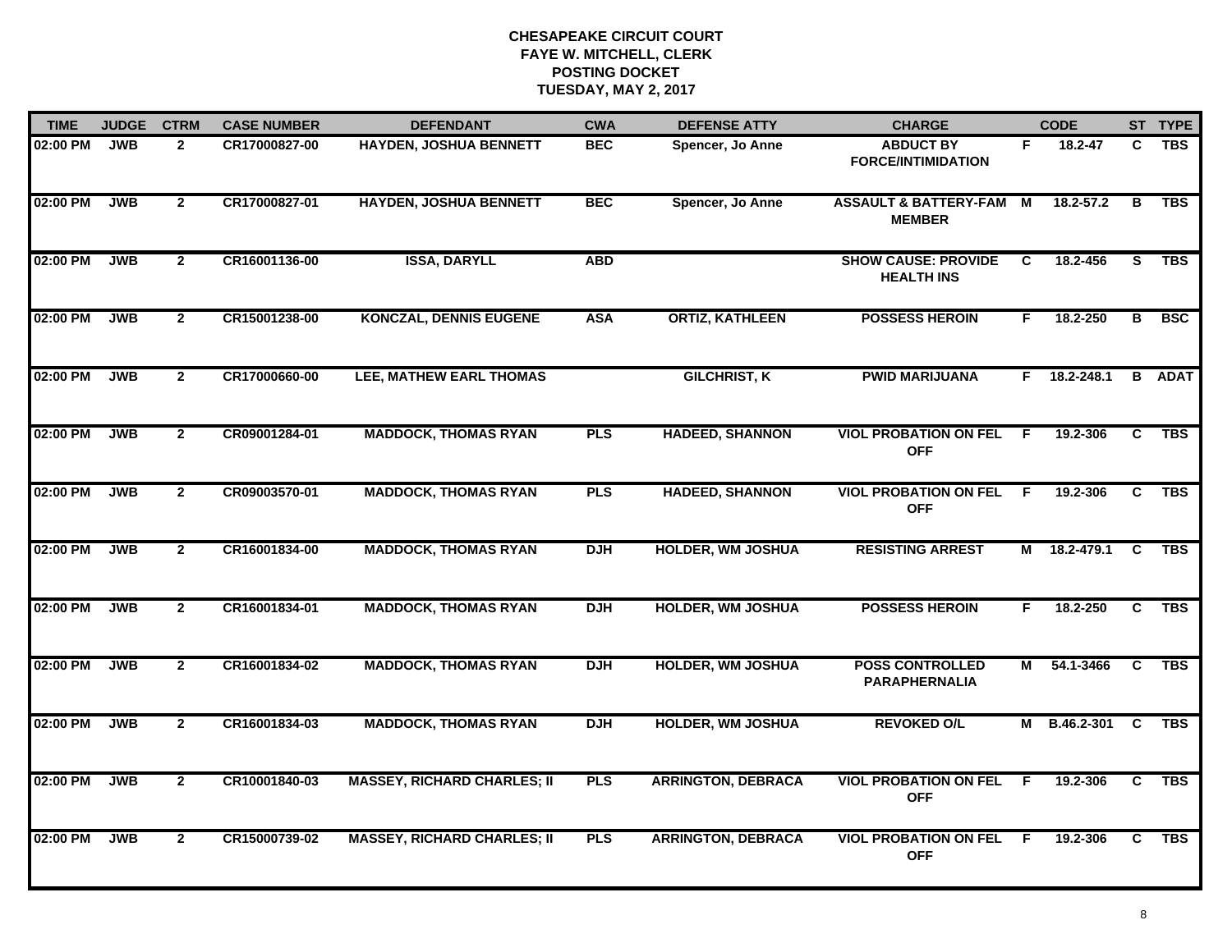| <b>TIME</b> | <b>JUDGE</b> | <b>CTRM</b>    | <b>CASE NUMBER</b> | <b>DEFENDANT</b>                   | <b>CWA</b> | <b>DEFENSE ATTY</b>       | <b>CHARGE</b>                                     |                | <b>CODE</b>  |                | ST TYPE       |
|-------------|--------------|----------------|--------------------|------------------------------------|------------|---------------------------|---------------------------------------------------|----------------|--------------|----------------|---------------|
| 02:00 PM    | <b>JWB</b>   | $\mathbf{2}$   | CR17000827-00      | <b>HAYDEN, JOSHUA BENNETT</b>      | <b>BEC</b> | Spencer, Jo Anne          | <b>ABDUCT BY</b><br><b>FORCE/INTIMIDATION</b>     | F.             | 18.2-47      | C              | <b>TBS</b>    |
| 02:00 PM    | <b>JWB</b>   | $\mathbf{2}$   | CR17000827-01      | <b>HAYDEN, JOSHUA BENNETT</b>      | <b>BEC</b> | Spencer, Jo Anne          | <b>ASSAULT &amp; BATTERY-FAM</b><br><b>MEMBER</b> | M              | 18.2-57.2    | В              | <b>TBS</b>    |
| 02:00 PM    | <b>JWB</b>   | $\mathbf{2}$   | CR16001136-00      | <b>ISSA, DARYLL</b>                | <b>ABD</b> |                           | <b>SHOW CAUSE: PROVIDE</b><br><b>HEALTH INS</b>   | C              | 18.2-456     | S              | <b>TBS</b>    |
| 02:00 PM    | <b>JWB</b>   | $\mathbf{2}$   | CR15001238-00      | <b>KONCZAL, DENNIS EUGENE</b>      | <b>ASA</b> | <b>ORTIZ, KATHLEEN</b>    | <b>POSSESS HEROIN</b>                             | F.             | 18.2-250     | в              | <b>BSC</b>    |
| 02:00 PM    | <b>JWB</b>   | $\mathbf{2}$   | CR17000660-00      | LEE, MATHEW EARL THOMAS            |            | <b>GILCHRIST, K</b>       | <b>PWID MARIJUANA</b>                             |                | F 18.2-248.1 |                | <b>B</b> ADAT |
| 02:00 PM    | <b>JWB</b>   | $\mathbf{2}$   | CR09001284-01      | <b>MADDOCK, THOMAS RYAN</b>        | <b>PLS</b> | <b>HADEED, SHANNON</b>    | <b>VIOL PROBATION ON FEL</b><br><b>OFF</b>        | F.             | 19.2-306     | C.             | <b>TBS</b>    |
| 02:00 PM    | <b>JWB</b>   | $\overline{2}$ | CR09003570-01      | <b>MADDOCK, THOMAS RYAN</b>        | <b>PLS</b> | <b>HADEED, SHANNON</b>    | <b>VIOL PROBATION ON FEL</b><br><b>OFF</b>        | $\overline{F}$ | 19.2-306     | $\overline{c}$ | <b>TBS</b>    |
| 02:00 PM    | <b>JWB</b>   | $\mathbf{2}$   | CR16001834-00      | <b>MADDOCK, THOMAS RYAN</b>        | <b>DJH</b> | <b>HOLDER, WM JOSHUA</b>  | <b>RESISTING ARREST</b>                           | М              | 18.2-479.1   | C              | <b>TBS</b>    |
| 02:00 PM    | <b>JWB</b>   | $\mathbf{2}$   | CR16001834-01      | <b>MADDOCK, THOMAS RYAN</b>        | <b>DJH</b> | <b>HOLDER, WM JOSHUA</b>  | <b>POSSESS HEROIN</b>                             | F.             | 18.2-250     | C              | <b>TBS</b>    |
| 02:00 PM    | <b>JWB</b>   | $\mathbf{2}$   | CR16001834-02      | <b>MADDOCK, THOMAS RYAN</b>        | <b>DJH</b> | <b>HOLDER, WM JOSHUA</b>  | <b>POSS CONTROLLED</b><br><b>PARAPHERNALIA</b>    | М              | 54.1-3466    | C              | <b>TBS</b>    |
| 02:00 PM    | <b>JWB</b>   | $\mathbf{2}$   | CR16001834-03      | <b>MADDOCK, THOMAS RYAN</b>        | <b>DJH</b> | <b>HOLDER, WM JOSHUA</b>  | <b>REVOKED O/L</b>                                | M              | B.46.2-301   | <b>C</b>       | <b>TBS</b>    |
| 02:00 PM    | <b>JWB</b>   | $\overline{2}$ | CR10001840-03      | <b>MASSEY, RICHARD CHARLES; II</b> | PLS        | <b>ARRINGTON, DEBRACA</b> | <b>VIOL PROBATION ON FEL</b><br><b>OFF</b>        | F              | 19.2-306     | $\overline{c}$ | <b>TBS</b>    |
| 02:00 PM    | <b>JWB</b>   | $\mathbf{2}$   | CR15000739-02      | <b>MASSEY, RICHARD CHARLES; II</b> | <b>PLS</b> | <b>ARRINGTON, DEBRACA</b> | <b>VIOL PROBATION ON FEL</b><br><b>OFF</b>        | F.             | 19.2-306     | C              | <b>TBS</b>    |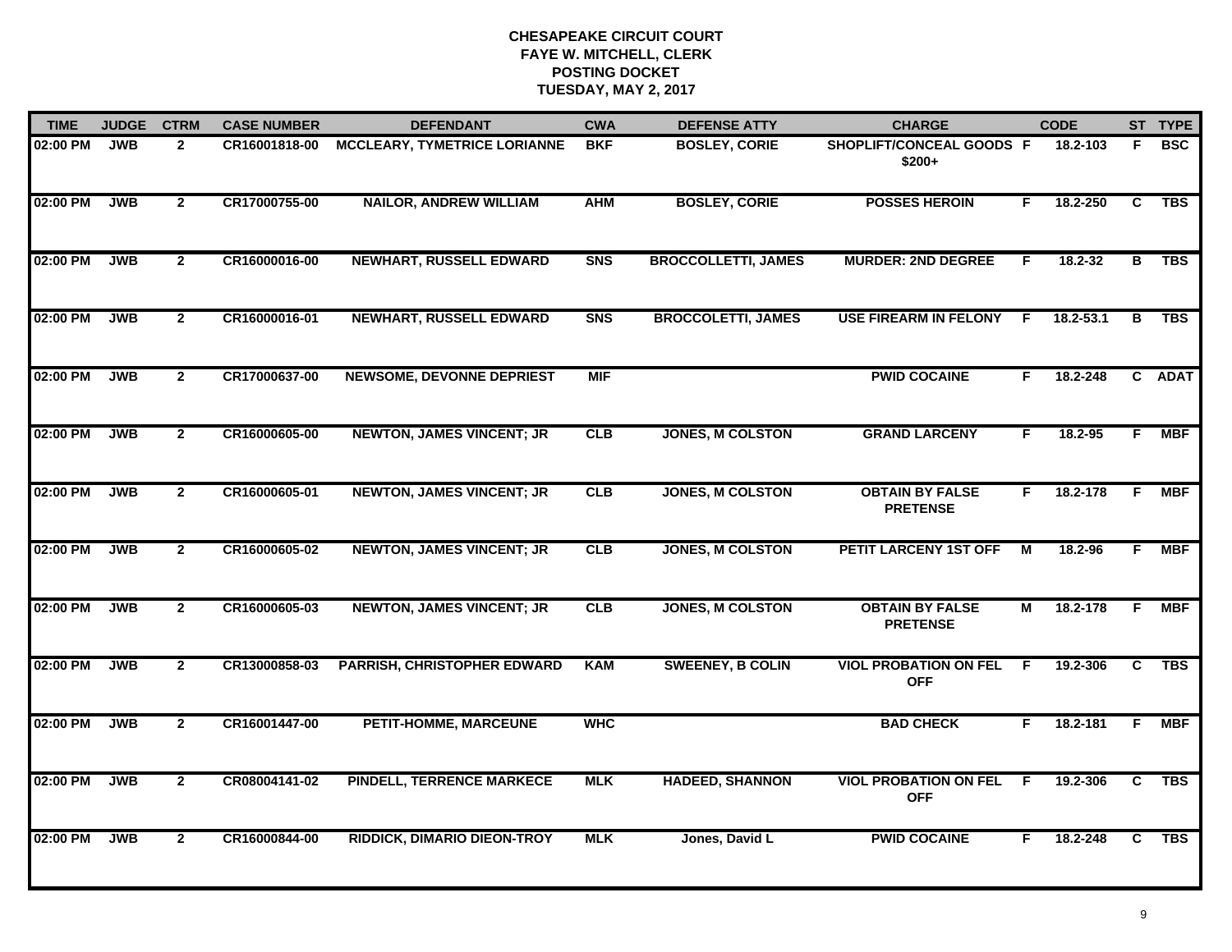| <b>TIME</b> | <b>JUDGE</b> | <b>CTRM</b>    | <b>CASE NUMBER</b> | <b>DEFENDANT</b>                    | <b>CWA</b> | <b>DEFENSE ATTY</b>        | <b>CHARGE</b>                              |                | <b>CODE</b> |                | ST TYPE    |
|-------------|--------------|----------------|--------------------|-------------------------------------|------------|----------------------------|--------------------------------------------|----------------|-------------|----------------|------------|
| 02:00 PM    | <b>JWB</b>   | $\overline{2}$ | CR16001818-00      | <b>MCCLEARY, TYMETRICE LORIANNE</b> | <b>BKF</b> | <b>BOSLEY, CORIE</b>       | SHOPLIFT/CONCEAL GOODS F<br>$$200+$        |                | 18.2-103    | F              | <b>BSC</b> |
| 02:00 PM    | <b>JWB</b>   | $\overline{2}$ | CR17000755-00      | <b>NAILOR, ANDREW WILLIAM</b>       | <b>AHM</b> | <b>BOSLEY, CORIE</b>       | <b>POSSES HEROIN</b>                       | F.             | 18.2-250    | C              | <b>TBS</b> |
| 02:00 PM    | <b>JWB</b>   | $\mathbf{2}$   | CR16000016-00      | <b>NEWHART, RUSSELL EDWARD</b>      | <b>SNS</b> | <b>BROCCOLLETTI, JAMES</b> | <b>MURDER: 2ND DEGREE</b>                  | F.             | 18.2-32     | в              | <b>TBS</b> |
| 02:00 PM    | <b>JWB</b>   | $\mathbf{2}$   | CR16000016-01      | <b>NEWHART, RUSSELL EDWARD</b>      | <b>SNS</b> | <b>BROCCOLETTI, JAMES</b>  | <b>USE FIREARM IN FELONY</b>               | F.             | 18.2-53.1   | В              | <b>TBS</b> |
| 02:00 PM    | <b>JWB</b>   | $\mathbf{2}$   | CR17000637-00      | <b>NEWSOME, DEVONNE DEPRIEST</b>    | <b>MIF</b> |                            | <b>PWID COCAINE</b>                        | F.             | 18.2-248    |                | C ADAT     |
| 02:00 PM    | <b>JWB</b>   | $\mathbf{2}$   | CR16000605-00      | <b>NEWTON, JAMES VINCENT; JR</b>    | CLB        | <b>JONES, M COLSTON</b>    | <b>GRAND LARCENY</b>                       | F.             | 18.2-95     | F.             | MBF        |
| 02:00 PM    | <b>JWB</b>   | $\overline{2}$ | CR16000605-01      | <b>NEWTON, JAMES VINCENT; JR</b>    | CLB        | <b>JONES, M COLSTON</b>    | <b>OBTAIN BY FALSE</b><br><b>PRETENSE</b>  | F.             | 18.2-178    | E              | <b>MBF</b> |
| 02:00 PM    | <b>JWB</b>   | $\mathbf{2}$   | CR16000605-02      | <b>NEWTON, JAMES VINCENT; JR</b>    | CLB        | <b>JONES, M COLSTON</b>    | PETIT LARCENY 1ST OFF                      | М              | 18.2-96     | F.             | <b>MBF</b> |
| 02:00 PM    | <b>JWB</b>   | $\mathbf{2}$   | CR16000605-03      | <b>NEWTON, JAMES VINCENT; JR</b>    | CLB        | <b>JONES, M COLSTON</b>    | <b>OBTAIN BY FALSE</b><br><b>PRETENSE</b>  | М              | 18.2-178    | -F             | <b>MBF</b> |
| 02:00 PM    | <b>JWB</b>   | $\overline{2}$ | CR13000858-03      | <b>PARRISH, CHRISTOPHER EDWARD</b>  | <b>KAM</b> | <b>SWEENEY, B COLIN</b>    | <b>VIOL PROBATION ON FEL</b><br><b>OFF</b> | F              | 19.2-306    | C              | <b>TBS</b> |
| 02:00 PM    | <b>JWB</b>   | $\mathbf{2}$   | CR16001447-00      | <b>PETIT-HOMME, MARCEUNE</b>        | <b>WHC</b> |                            | <b>BAD CHECK</b>                           | F.             | 18.2-181    | F              | <b>MBF</b> |
| 02:00 PM    | <b>JWB</b>   | $\overline{2}$ | CR08004141-02      | <b>PINDELL, TERRENCE MARKECE</b>    | <b>MLK</b> | <b>HADEED, SHANNON</b>     | <b>VIOL PROBATION ON FEL</b><br><b>OFF</b> | $\overline{F}$ | 19.2-306    | $\overline{c}$ | <b>TBS</b> |
| 02:00 PM    | <b>JWB</b>   | $\mathbf{2}$   | CR16000844-00      | <b>RIDDICK, DIMARIO DIEON-TROY</b>  | <b>MLK</b> | Jones, David L             | <b>PWID COCAINE</b>                        | F.             | 18.2-248    | C              | <b>TBS</b> |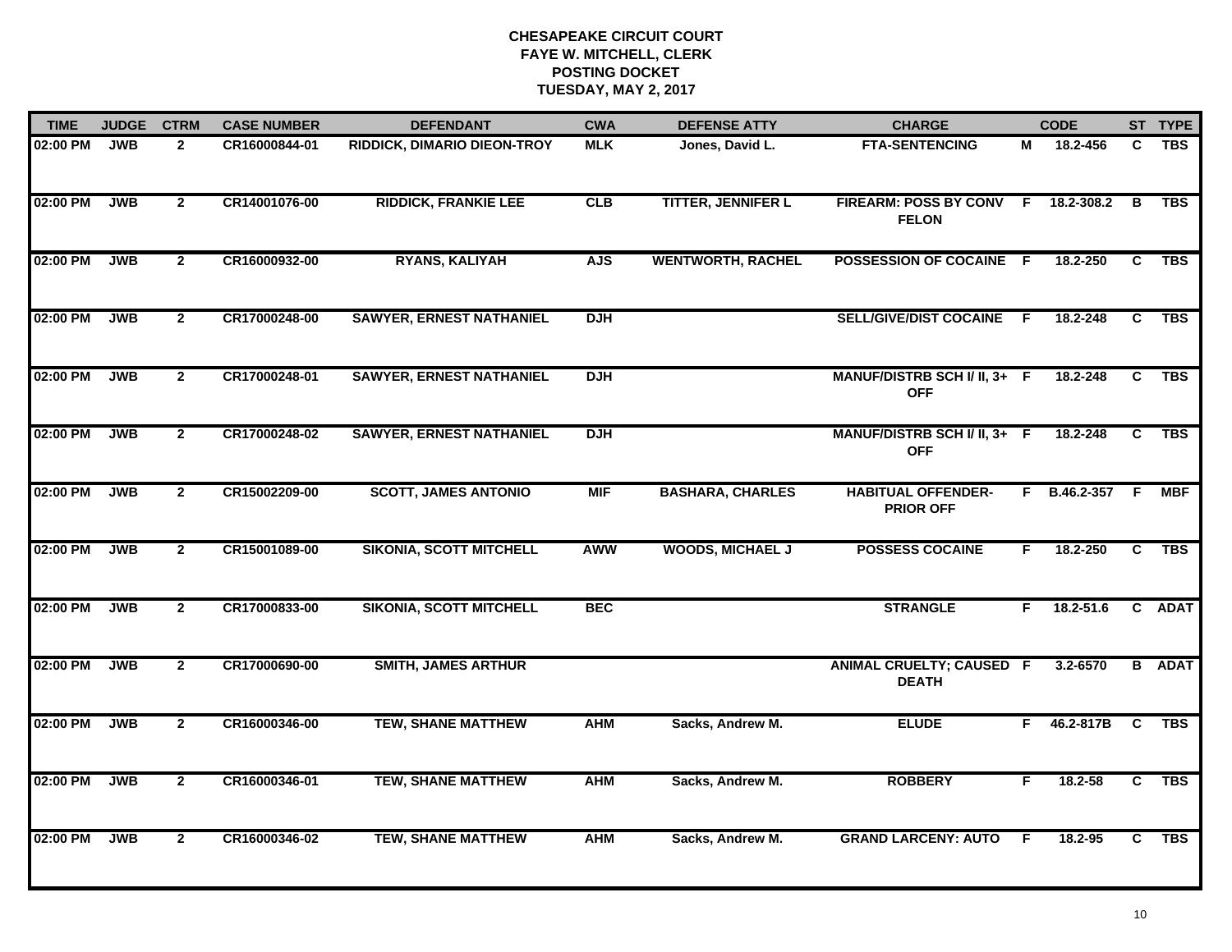| <b>TIME</b> | <b>JUDGE</b> | <b>CTRM</b>    | <b>CASE NUMBER</b> | <b>DEFENDANT</b>                | <b>CWA</b> | <b>DEFENSE ATTY</b>       | <b>CHARGE</b>                                 |     | <b>CODE</b>    |                | ST TYPE       |
|-------------|--------------|----------------|--------------------|---------------------------------|------------|---------------------------|-----------------------------------------------|-----|----------------|----------------|---------------|
| 02:00 PM    | <b>JWB</b>   | $\mathbf{2}$   | CR16000844-01      | RIDDICK, DIMARIO DIEON-TROY     | <b>MLK</b> | Jones, David L.           | <b>FTA-SENTENCING</b>                         | М   | 18.2-456       | C              | <b>TBS</b>    |
| 02:00 PM    | <b>JWB</b>   | $\overline{2}$ | CR14001076-00      | <b>RIDDICK, FRANKIE LEE</b>     | CLB        | <b>TITTER, JENNIFER L</b> | FIREARM: POSS BY CONV F<br><b>FELON</b>       |     | 18.2-308.2     | B              | <b>TBS</b>    |
| 02:00 PM    | <b>JWB</b>   | $\overline{2}$ | CR16000932-00      | <b>RYANS, KALIYAH</b>           | <b>AJS</b> | <b>WENTWORTH, RACHEL</b>  | POSSESSION OF COCAINE F                       |     | 18.2-250       | $\overline{c}$ | <b>TBS</b>    |
| 02:00 PM    | <b>JWB</b>   | $\mathbf{2}$   | CR17000248-00      | <b>SAWYER, ERNEST NATHANIEL</b> | <b>DJH</b> |                           | <b>SELL/GIVE/DIST COCAINE</b>                 | - F | 18.2-248       | C              | <b>TBS</b>    |
| 02:00 PM    | <b>JWB</b>   | $\mathbf{2}$   | CR17000248-01      | <b>SAWYER, ERNEST NATHANIEL</b> | <b>DJH</b> |                           | MANUF/DISTRB SCH I/ II, 3+ F<br><b>OFF</b>    |     | 18.2-248       | C              | <b>TBS</b>    |
| 02:00 PM    | <b>JWB</b>   | $\mathbf{2}$   | CR17000248-02      | <b>SAWYER, ERNEST NATHANIEL</b> | <b>DJH</b> |                           | MANUF/DISTRB SCH I/ II, 3+ F<br><b>OFF</b>    |     | 18.2-248       | C              | TBS           |
| 02:00 PM    | <b>JWB</b>   | $\overline{2}$ | CR15002209-00      | <b>SCOTT, JAMES ANTONIO</b>     | <b>MIF</b> | <b>BASHARA, CHARLES</b>   | <b>HABITUAL OFFENDER-</b><br><b>PRIOR OFF</b> |     | F B.46.2-357 F |                | <b>MBF</b>    |
| 02:00 PM    | <b>JWB</b>   | $\overline{2}$ | CR15001089-00      | <b>SIKONIA, SCOTT MITCHELL</b>  | <b>AWW</b> | <b>WOODS, MICHAEL J</b>   | <b>POSSESS COCAINE</b>                        | F.  | 18.2-250       | $\overline{c}$ | <b>TBS</b>    |
| 02:00 PM    | <b>JWB</b>   | $\overline{2}$ | CR17000833-00      | <b>SIKONIA, SCOTT MITCHELL</b>  | <b>BEC</b> |                           | <b>STRANGLE</b>                               | F.  | $18.2 - 51.6$  |                | C ADAT        |
| 02:00 PM    | <b>JWB</b>   | $\overline{2}$ | CR17000690-00      | <b>SMITH, JAMES ARTHUR</b>      |            |                           | ANIMAL CRUELTY; CAUSED F<br><b>DEATH</b>      |     | 3.2-6570       |                | <b>B</b> ADAT |
| 02:00 PM    | <b>JWB</b>   | $\mathbf{2}$   | CR16000346-00      | <b>TEW, SHANE MATTHEW</b>       | <b>AHM</b> | Sacks, Andrew M.          | <b>ELUDE</b>                                  | F.  | 46.2-817B      | <b>C</b>       | <b>TBS</b>    |
| 02:00 PM    | <b>JWB</b>   | $\overline{2}$ | CR16000346-01      | <b>TEW, SHANE MATTHEW</b>       | <b>AHM</b> | Sacks, Andrew M.          | <b>ROBBERY</b>                                | F   | 18.2-58        | $\overline{c}$ | <b>TBS</b>    |
| 02:00 PM    | <b>JWB</b>   | $\overline{2}$ | CR16000346-02      | <b>TEW, SHANE MATTHEW</b>       | <b>AHM</b> | Sacks, Andrew M.          | <b>GRAND LARCENY: AUTO</b>                    | F.  | $18.2 - 95$    | C              | <b>TBS</b>    |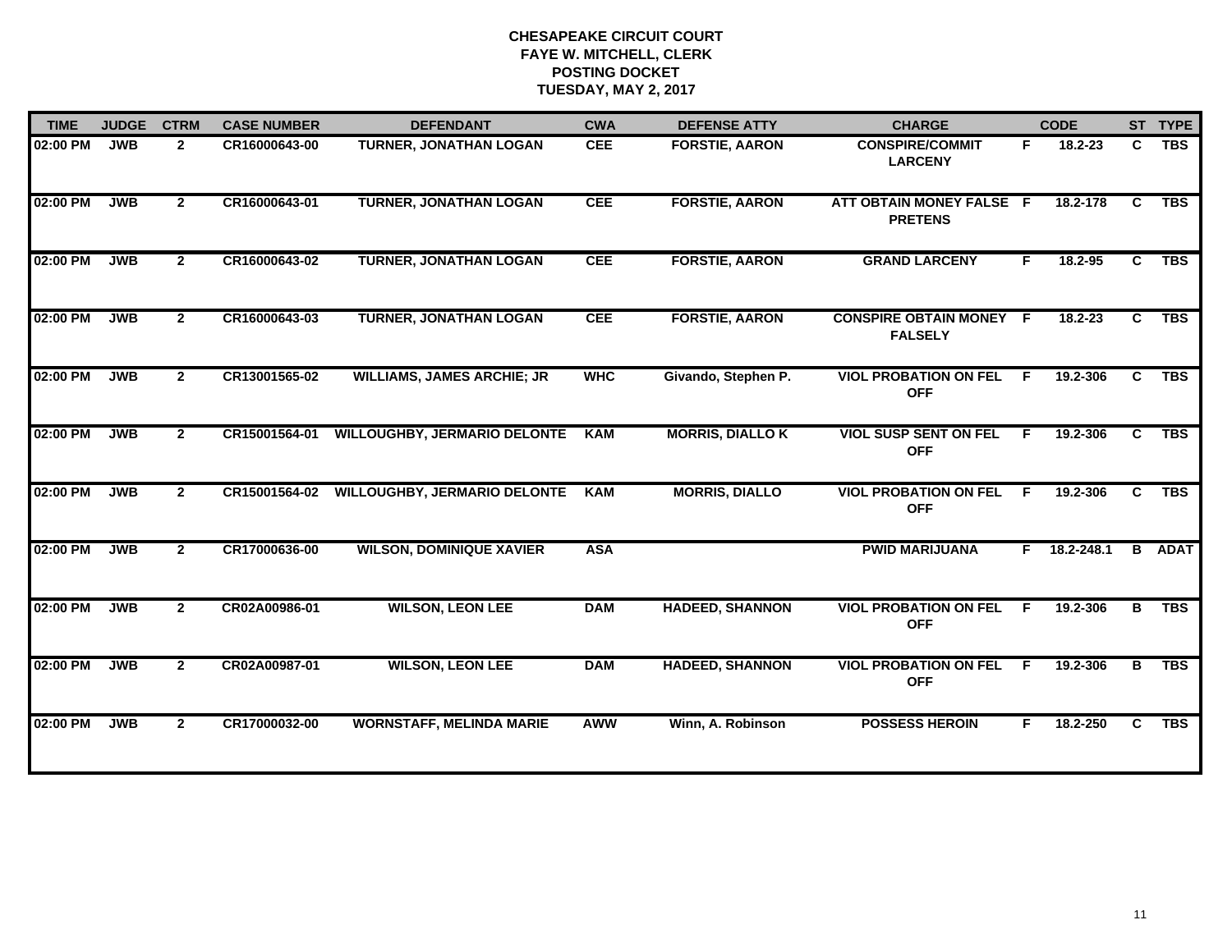| <b>TIME</b> | <b>JUDGE</b> | <b>CTRM</b>  | <b>CASE NUMBER</b> | <b>DEFENDANT</b>                    | <b>CWA</b> | <b>DEFENSE ATTY</b>     | <b>CHARGE</b>                                    |    | <b>CODE</b> |    | ST TYPE     |
|-------------|--------------|--------------|--------------------|-------------------------------------|------------|-------------------------|--------------------------------------------------|----|-------------|----|-------------|
| 02:00 PM    | <b>JWB</b>   | $\mathbf{2}$ | CR16000643-00      | <b>TURNER, JONATHAN LOGAN</b>       | <b>CEE</b> | <b>FORSTIE, AARON</b>   | <b>CONSPIRE/COMMIT</b><br><b>LARCENY</b>         | F. | 18.2-23     | C  | <b>TBS</b>  |
| 02:00 PM    | <b>JWB</b>   | $\mathbf{2}$ | CR16000643-01      | <b>TURNER, JONATHAN LOGAN</b>       | <b>CEE</b> | <b>FORSTIE, AARON</b>   | ATT OBTAIN MONEY FALSE F<br><b>PRETENS</b>       |    | 18.2-178    | C  | <b>TBS</b>  |
| 02:00 PM    | JWB          | $\mathbf{2}$ | CR16000643-02      | <b>TURNER, JONATHAN LOGAN</b>       | <b>CEE</b> | <b>FORSTIE, AARON</b>   | <b>GRAND LARCENY</b>                             | F. | 18.2-95     | C  | <b>TBS</b>  |
| 02:00 PM    | <b>JWB</b>   | $\mathbf{2}$ | CR16000643-03      | <b>TURNER, JONATHAN LOGAN</b>       | <b>CEE</b> | <b>FORSTIE, AARON</b>   | <b>CONSPIRE OBTAIN MONEY F</b><br><b>FALSELY</b> |    | 18.2-23     | C  | <b>TBS</b>  |
| 02:00 PM    | <b>JWB</b>   | $\mathbf{2}$ | CR13001565-02      | <b>WILLIAMS, JAMES ARCHIE; JR</b>   | <b>WHC</b> | Givando, Stephen P.     | <b>VIOL PROBATION ON FEL</b><br><b>OFF</b>       | F. | 19.2-306    | C  | <b>TBS</b>  |
| 02:00 PM    | <b>JWB</b>   | $\mathbf{2}$ | CR15001564-01      | <b>WILLOUGHBY, JERMARIO DELONTE</b> | <b>KAM</b> | <b>MORRIS, DIALLO K</b> | <b>VIOL SUSP SENT ON FEL</b><br><b>OFF</b>       | F. | 19.2-306    | C. | <b>TBS</b>  |
| 02:00 PM    | <b>JWB</b>   | $\mathbf{2}$ | CR15001564-02      | <b>WILLOUGHBY, JERMARIO DELONTE</b> | <b>KAM</b> | <b>MORRIS, DIALLO</b>   | <b>VIOL PROBATION ON FEL</b><br><b>OFF</b>       | F. | 19.2-306    | C. | <b>TBS</b>  |
| 02:00 PM    | <b>JWB</b>   | $\mathbf{2}$ | CR17000636-00      | <b>WILSON, DOMINIQUE XAVIER</b>     | <b>ASA</b> |                         | <b>PWID MARIJUANA</b>                            | F. | 18.2-248.1  | B  | <b>ADAT</b> |
| 02:00 PM    | <b>JWB</b>   | $\mathbf{2}$ | CR02A00986-01      | <b>WILSON, LEON LEE</b>             | <b>DAM</b> | <b>HADEED, SHANNON</b>  | <b>VIOL PROBATION ON FEL</b><br><b>OFF</b>       | F. | 19.2-306    | в  | <b>TBS</b>  |
| 02:00 PM    | <b>JWB</b>   | $\mathbf{2}$ | CR02A00987-01      | <b>WILSON, LEON LEE</b>             | <b>DAM</b> | <b>HADEED, SHANNON</b>  | <b>VIOL PROBATION ON FEL</b><br><b>OFF</b>       | F  | 19.2-306    | в  | <b>TBS</b>  |
| 02:00 PM    | <b>JWB</b>   | $\mathbf{2}$ | CR17000032-00      | <b>WORNSTAFF, MELINDA MARIE</b>     | <b>AWW</b> | Winn, A. Robinson       | <b>POSSESS HEROIN</b>                            | F. | 18.2-250    | C. | <b>TBS</b>  |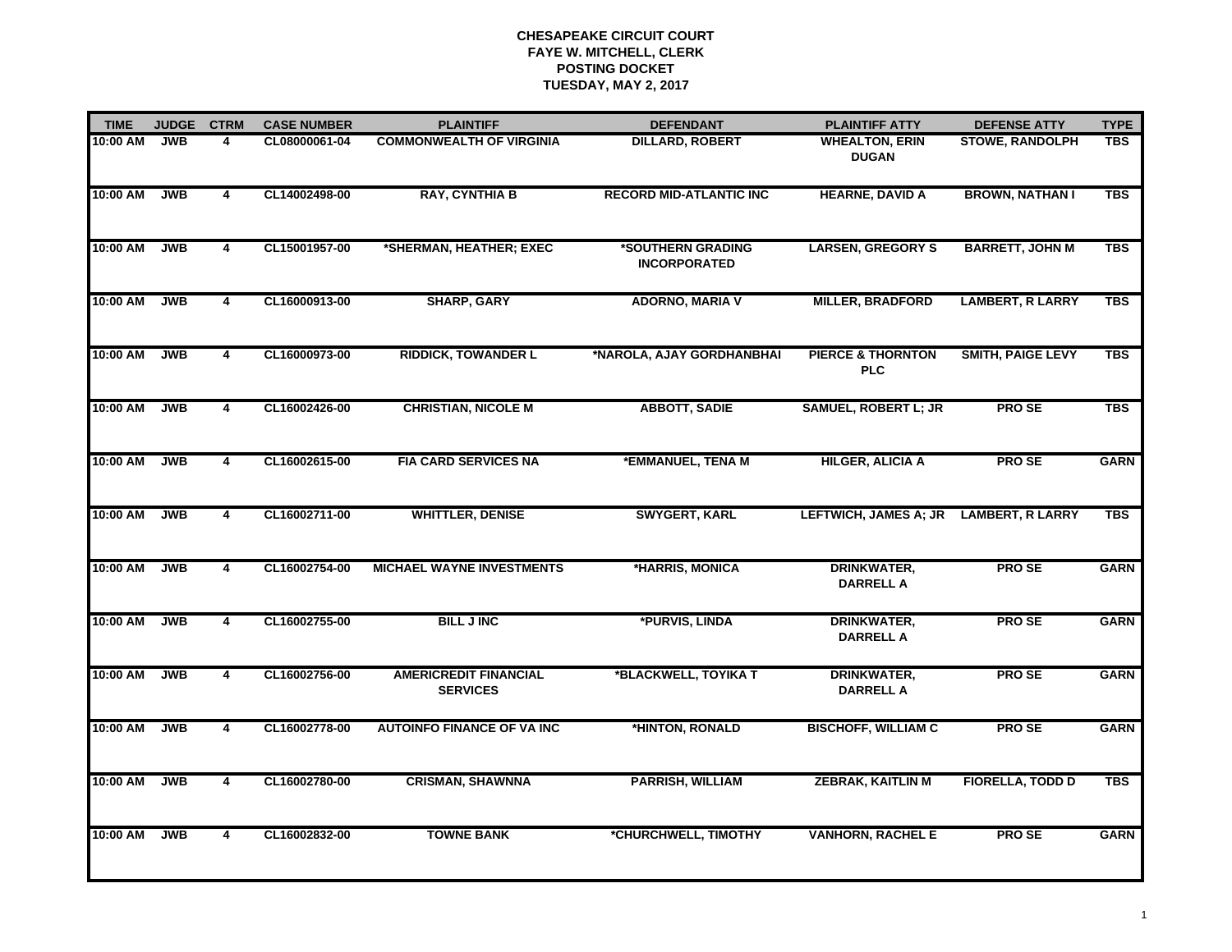| <b>TIME</b> | <b>JUDGE</b> | <b>CTRM</b>    | <b>CASE NUMBER</b> | <b>PLAINTIFF</b>                                |                                          | <b>PLAINTIFF ATTY</b>                      | <b>DEFENSE ATTY</b>      | <b>TYPE</b> |
|-------------|--------------|----------------|--------------------|-------------------------------------------------|------------------------------------------|--------------------------------------------|--------------------------|-------------|
|             |              |                |                    |                                                 | <b>DEFENDANT</b>                         |                                            |                          |             |
| 10:00 AM    | <b>JWB</b>   | 4              | CL08000061-04      | <b>COMMONWEALTH OF VIRGINIA</b>                 | <b>DILLARD, ROBERT</b>                   | <b>WHEALTON, ERIN</b><br><b>DUGAN</b>      | <b>STOWE, RANDOLPH</b>   | <b>TBS</b>  |
| 10:00 AM    | <b>JWB</b>   | 4              | CL14002498-00      | <b>RAY, CYNTHIA B</b>                           | <b>RECORD MID-ATLANTIC INC</b>           | <b>HEARNE, DAVID A</b>                     | <b>BROWN, NATHAN I</b>   | <b>TBS</b>  |
| 10:00 AM    | <b>JWB</b>   | $\overline{4}$ | CL15001957-00      | *SHERMAN, HEATHER; EXEC                         | *SOUTHERN GRADING<br><b>INCORPORATED</b> | <b>LARSEN, GREGORY S</b>                   | <b>BARRETT, JOHN M</b>   | <b>TBS</b>  |
| 10:00 AM    | <b>JWB</b>   | $\overline{4}$ | CL16000913-00      | <b>SHARP, GARY</b>                              | <b>ADORNO, MARIA V</b>                   | <b>MILLER, BRADFORD</b>                    | <b>LAMBERT, R LARRY</b>  | <b>TBS</b>  |
| 10:00 AM    | <b>JWB</b>   | 4              | CL16000973-00      | <b>RIDDICK, TOWANDER L</b>                      | *NAROLA, AJAY GORDHANBHAI                | <b>PIERCE &amp; THORNTON</b><br><b>PLC</b> | <b>SMITH, PAIGE LEVY</b> | <b>TBS</b>  |
| 10:00 AM    | <b>JWB</b>   | 4              | CL16002426-00      | <b>CHRISTIAN, NICOLE M</b>                      | <b>ABBOTT, SADIE</b>                     | <b>SAMUEL, ROBERT L; JR</b>                | PRO SE                   | <b>TBS</b>  |
| 10:00 AM    | <b>JWB</b>   | 4              | CL16002615-00      | <b>FIA CARD SERVICES NA</b>                     | *EMMANUEL, TENA M                        | <b>HILGER, ALICIA A</b>                    | <b>PROSE</b>             | <b>GARN</b> |
| 10:00 AM    | <b>JWB</b>   | 4              | CL16002711-00      | <b>WHITTLER, DENISE</b>                         | <b>SWYGERT, KARL</b>                     | <b>LEFTWICH, JAMES A; JR</b>               | <b>LAMBERT, R LARRY</b>  | <b>TBS</b>  |
| 10:00 AM    | <b>JWB</b>   | 4              | CL16002754-00      | <b>MICHAEL WAYNE INVESTMENTS</b>                | *HARRIS, MONICA                          | <b>DRINKWATER,</b><br><b>DARRELL A</b>     | <b>PROSE</b>             | <b>GARN</b> |
| 10:00 AM    | <b>JWB</b>   | 4              | CL16002755-00      | <b>BILL JINC</b>                                | *PURVIS, LINDA                           | <b>DRINKWATER,</b><br><b>DARRELL A</b>     | <b>PROSE</b>             | <b>GARN</b> |
| 10:00 AM    | <b>JWB</b>   | 4              | CL16002756-00      | <b>AMERICREDIT FINANCIAL</b><br><b>SERVICES</b> | *BLACKWELL, TOYIKA T                     | DRINKWATER,<br><b>DARRELL A</b>            | <b>PROSE</b>             | <b>GARN</b> |
| 10:00 AM    | <b>JWB</b>   | 4              | CL16002778-00      | <b>AUTOINFO FINANCE OF VA INC</b>               | *HINTON, RONALD                          | <b>BISCHOFF, WILLIAM C</b>                 | <b>PROSE</b>             | <b>GARN</b> |
| 10:00 AM    | <b>JWB</b>   | 4              | CL16002780-00      | <b>CRISMAN, SHAWNNA</b>                         | <b>PARRISH, WILLIAM</b>                  | <b>ZEBRAK, KAITLIN M</b>                   | <b>FIORELLA, TODD D</b>  | <b>TBS</b>  |
| 10:00 AM    | <b>JWB</b>   | $\overline{4}$ | CL16002832-00      | <b>TOWNE BANK</b>                               | *CHURCHWELL, TIMOTHY                     | <b>VANHORN, RACHEL E</b>                   | <b>PROSE</b>             | <b>GARN</b> |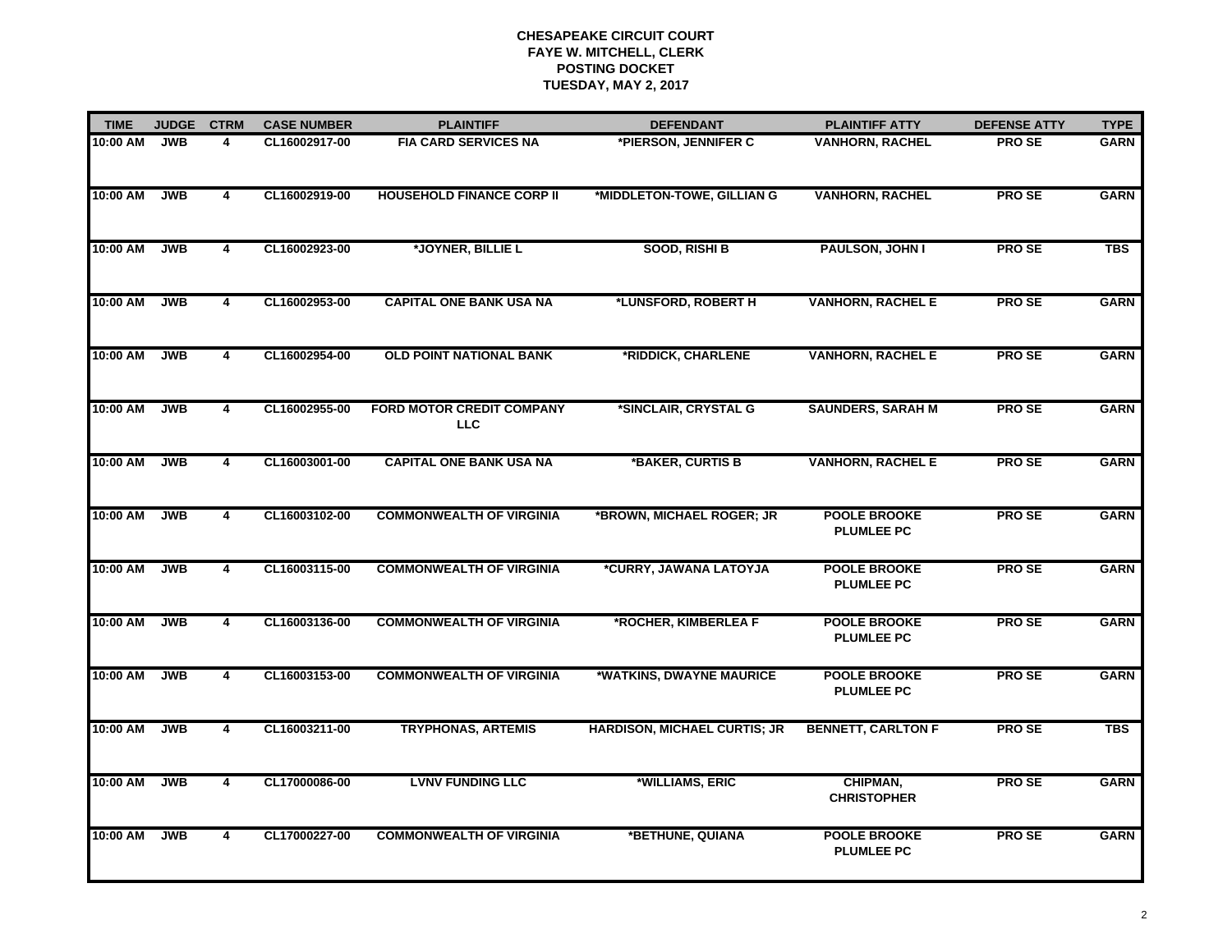| <b>TIME</b> | <b>JUDGE</b> | <b>CTRM</b>             | <b>CASE NUMBER</b> | <b>PLAINTIFF</b>                               | <b>DEFENDANT</b>                    | <b>PLAINTIFF ATTY</b>                    | <b>DEFENSE ATTY</b> | <b>TYPE</b> |
|-------------|--------------|-------------------------|--------------------|------------------------------------------------|-------------------------------------|------------------------------------------|---------------------|-------------|
| 10:00 AM    | <b>JWB</b>   | 4                       | CL16002917-00      | <b>FIA CARD SERVICES NA</b>                    | *PIERSON, JENNIFER C                | <b>VANHORN, RACHEL</b>                   | <b>PROSE</b>        | <b>GARN</b> |
| 10:00 AM    | <b>JWB</b>   | 4                       | CL16002919-00      | <b>HOUSEHOLD FINANCE CORP II</b>               | *MIDDLETON-TOWE, GILLIAN G          | <b>VANHORN, RACHEL</b>                   | <b>PROSE</b>        | <b>GARN</b> |
| 10:00 AM    | <b>JWB</b>   | 4                       | CL16002923-00      | *JOYNER, BILLIE L                              | SOOD, RISHI B                       | PAULSON, JOHN I                          | <b>PROSE</b>        | <b>TBS</b>  |
| 10:00 AM    | <b>JWB</b>   | 4                       | CL16002953-00      | <b>CAPITAL ONE BANK USA NA</b>                 | *LUNSFORD, ROBERT H                 | <b>VANHORN, RACHEL E</b>                 | <b>PROSE</b>        | <b>GARN</b> |
| 10:00 AM    | <b>JWB</b>   | 4                       | CL16002954-00      | OLD POINT NATIONAL BANK                        | *RIDDICK, CHARLENE                  | <b>VANHORN, RACHEL E</b>                 | <b>PROSE</b>        | <b>GARN</b> |
| 10:00 AM    | <b>JWB</b>   | 4                       | CL16002955-00      | <b>FORD MOTOR CREDIT COMPANY</b><br><b>LLC</b> | *SINCLAIR, CRYSTAL G                | <b>SAUNDERS, SARAH M</b>                 | <b>PRO SE</b>       | <b>GARN</b> |
| 10:00 AM    | <b>JWB</b>   | 4                       | CL16003001-00      | <b>CAPITAL ONE BANK USA NA</b>                 | *BAKER, CURTIS B                    | <b>VANHORN, RACHEL E</b>                 | <b>PROSE</b>        | <b>GARN</b> |
| 10:00 AM    | <b>JWB</b>   | 4                       | CL16003102-00      | <b>COMMONWEALTH OF VIRGINIA</b>                | *BROWN, MICHAEL ROGER; JR           | <b>POOLE BROOKE</b><br><b>PLUMLEE PC</b> | <b>PROSE</b>        | <b>GARN</b> |
| 10:00 AM    | <b>JWB</b>   | $\overline{4}$          | CL16003115-00      | <b>COMMONWEALTH OF VIRGINIA</b>                | *CURRY, JAWANA LATOYJA              | <b>POOLE BROOKE</b><br><b>PLUMLEE PC</b> | <b>PROSE</b>        | <b>GARN</b> |
| 10:00 AM    | <b>JWB</b>   | 4                       | CL16003136-00      | <b>COMMONWEALTH OF VIRGINIA</b>                | *ROCHER, KIMBERLEA F                | <b>POOLE BROOKE</b><br><b>PLUMLEE PC</b> | <b>PROSE</b>        | <b>GARN</b> |
| 10:00 AM    | <b>JWB</b>   | 4                       | CL16003153-00      | <b>COMMONWEALTH OF VIRGINIA</b>                | *WATKINS, DWAYNE MAURICE            | <b>POOLE BROOKE</b><br><b>PLUMLEE PC</b> | <b>PROSE</b>        | <b>GARN</b> |
| 10:00 AM    | <b>JWB</b>   | 4                       | CL16003211-00      | <b>TRYPHONAS, ARTEMIS</b>                      | <b>HARDISON, MICHAEL CURTIS; JR</b> | <b>BENNETT, CARLTON F</b>                | <b>PROSE</b>        | <b>TBS</b>  |
| 10:00 AM    | <b>JWB</b>   | $\overline{\mathbf{4}}$ | CL17000086-00      | <b>LVNV FUNDING LLC</b>                        | *WILLIAMS, ERIC                     | CHIPMAN,<br><b>CHRISTOPHER</b>           | <b>PROSE</b>        | <b>GARN</b> |
| 10:00 AM    | <b>JWB</b>   | $\overline{4}$          | CL17000227-00      | <b>COMMONWEALTH OF VIRGINIA</b>                | *BETHUNE, QUIANA                    | <b>POOLE BROOKE</b><br><b>PLUMLEE PC</b> | <b>PROSE</b>        | <b>GARN</b> |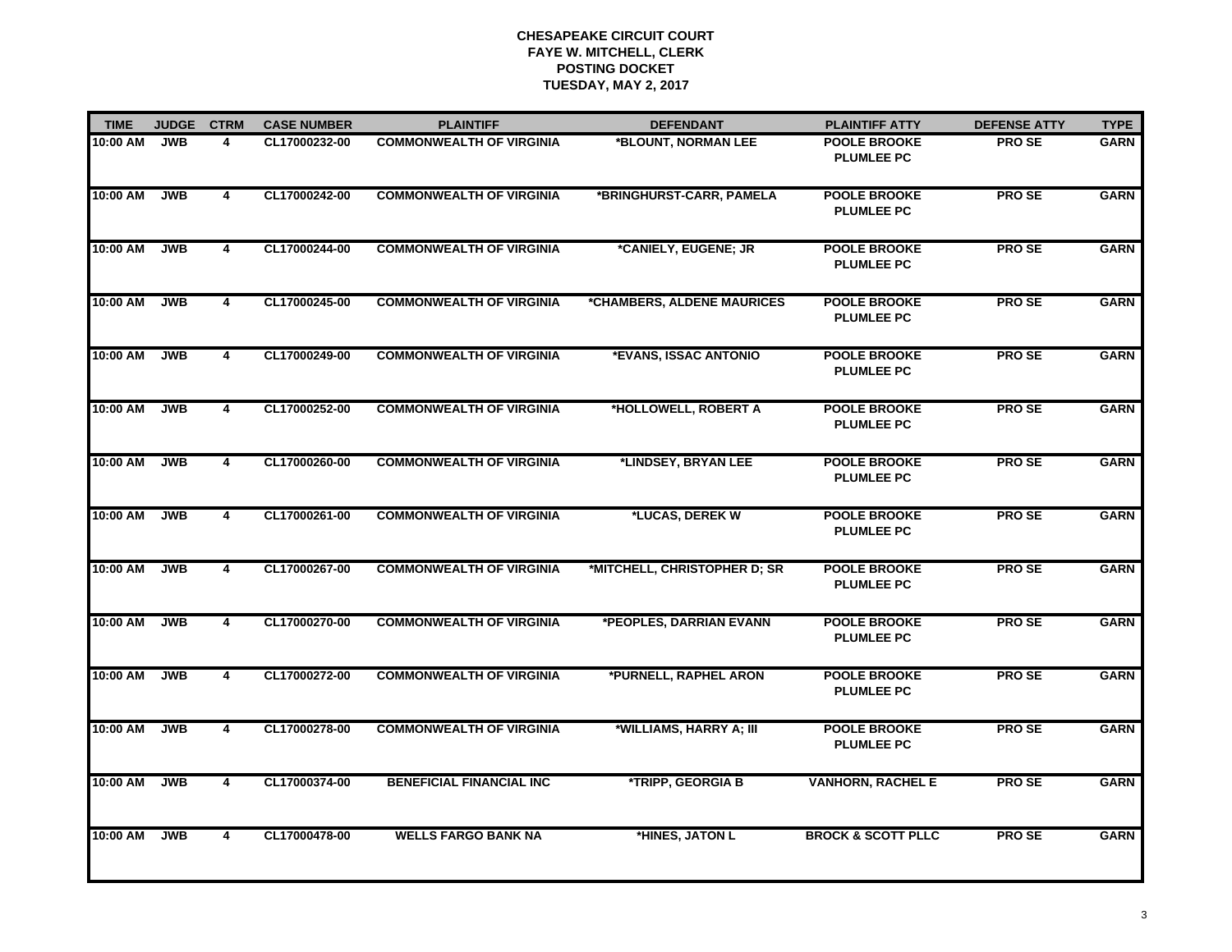| <b>TIME</b> | <b>JUDGE</b> | <b>CTRM</b>    | <b>CASE NUMBER</b> | <b>PLAINTIFF</b>                | <b>DEFENDANT</b>             | <b>PLAINTIFF ATTY</b>                    | <b>DEFENSE ATTY</b> | <b>TYPE</b> |
|-------------|--------------|----------------|--------------------|---------------------------------|------------------------------|------------------------------------------|---------------------|-------------|
| 10:00 AM    | <b>JWB</b>   | 4              | CL17000232-00      | <b>COMMONWEALTH OF VIRGINIA</b> | *BLOUNT, NORMAN LEE          | <b>POOLE BROOKE</b><br><b>PLUMLEE PC</b> | <b>PROSE</b>        | <b>GARN</b> |
| 10:00 AM    | <b>JWB</b>   | 4              | CL17000242-00      | <b>COMMONWEALTH OF VIRGINIA</b> | *BRINGHURST-CARR, PAMELA     | <b>POOLE BROOKE</b><br><b>PLUMLEE PC</b> | <b>PROSE</b>        | <b>GARN</b> |
| 10:00 AM    | <b>JWB</b>   | $\overline{4}$ | CL17000244-00      | <b>COMMONWEALTH OF VIRGINIA</b> | *CANIELY, EUGENE; JR         | <b>POOLE BROOKE</b><br><b>PLUMLEE PC</b> | <b>PROSE</b>        | <b>GARN</b> |
| 10:00 AM    | <b>JWB</b>   | $\overline{4}$ | CL17000245-00      | <b>COMMONWEALTH OF VIRGINIA</b> | *CHAMBERS, ALDENE MAURICES   | <b>POOLE BROOKE</b><br><b>PLUMLEE PC</b> | <b>PROSE</b>        | <b>GARN</b> |
| 10:00 AM    | <b>JWB</b>   | 4              | CL17000249-00      | <b>COMMONWEALTH OF VIRGINIA</b> | *EVANS, ISSAC ANTONIO        | <b>POOLE BROOKE</b><br><b>PLUMLEE PC</b> | <b>PROSE</b>        | <b>GARN</b> |
| 10:00 AM    | <b>JWB</b>   | 4              | CL17000252-00      | <b>COMMONWEALTH OF VIRGINIA</b> | *HOLLOWELL, ROBERT A         | <b>POOLE BROOKE</b><br><b>PLUMLEE PC</b> | <b>PROSE</b>        | <b>GARN</b> |
| 10:00 AM    | <b>JWB</b>   | 4              | CL17000260-00      | <b>COMMONWEALTH OF VIRGINIA</b> | *LINDSEY, BRYAN LEE          | <b>POOLE BROOKE</b><br><b>PLUMLEE PC</b> | <b>PROSE</b>        | <b>GARN</b> |
| 10:00 AM    | <b>JWB</b>   | 4              | CL17000261-00      | <b>COMMONWEALTH OF VIRGINIA</b> | *LUCAS, DEREK W              | <b>POOLE BROOKE</b><br><b>PLUMLEE PC</b> | <b>PROSE</b>        | <b>GARN</b> |
| 10:00 AM    | <b>JWB</b>   | 4              | CL17000267-00      | <b>COMMONWEALTH OF VIRGINIA</b> | *MITCHELL, CHRISTOPHER D; SR | <b>POOLE BROOKE</b><br><b>PLUMLEE PC</b> | <b>PROSE</b>        | <b>GARN</b> |
| 10:00 AM    | <b>JWB</b>   | 4              | CL17000270-00      | <b>COMMONWEALTH OF VIRGINIA</b> | *PEOPLES, DARRIAN EVANN      | <b>POOLE BROOKE</b><br><b>PLUMLEE PC</b> | <b>PROSE</b>        | <b>GARN</b> |
| 10:00 AM    | <b>JWB</b>   | 4              | CL17000272-00      | <b>COMMONWEALTH OF VIRGINIA</b> | *PURNELL, RAPHEL ARON        | <b>POOLE BROOKE</b><br><b>PLUMLEE PC</b> | <b>PROSE</b>        | <b>GARN</b> |
| 10:00 AM    | <b>JWB</b>   | $\overline{4}$ | CL17000278-00      | <b>COMMONWEALTH OF VIRGINIA</b> | *WILLIAMS, HARRY A; III      | <b>POOLE BROOKE</b><br><b>PLUMLEE PC</b> | <b>PROSE</b>        | <b>GARN</b> |
| 10:00 AM    | <b>JWB</b>   | 4              | CL17000374-00      | <b>BENEFICIAL FINANCIAL INC</b> | *TRIPP, GEORGIA B            | <b>VANHORN, RACHEL E</b>                 | <b>PROSE</b>        | <b>GARN</b> |
| 10:00 AM    | <b>JWB</b>   | 4              | CL17000478-00      | <b>WELLS FARGO BANK NA</b>      | *HINES, JATON L              | <b>BROCK &amp; SCOTT PLLC</b>            | <b>PROSE</b>        | <b>GARN</b> |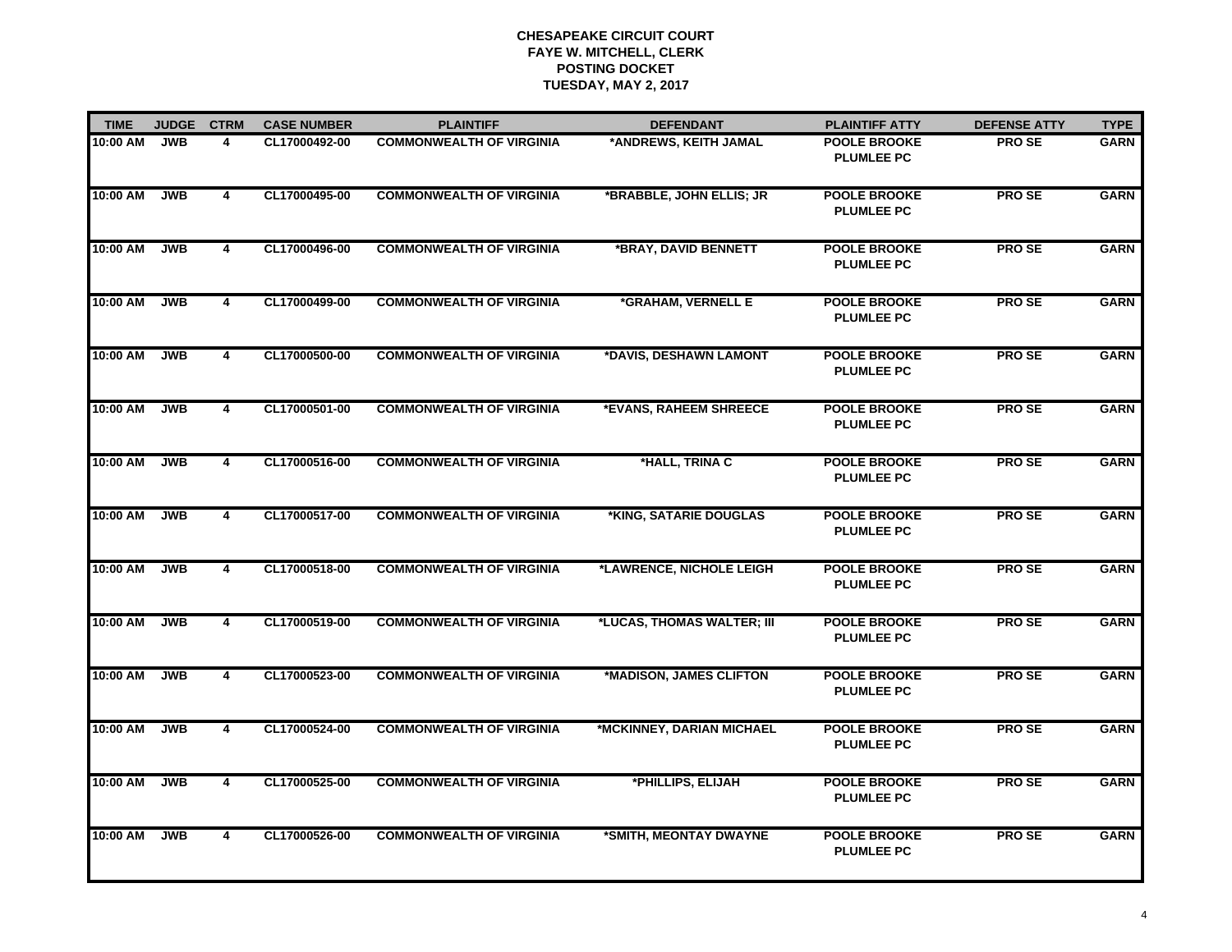| <b>TIME</b> | <b>JUDGE</b> | <b>CTRM</b>             | <b>CASE NUMBER</b> | <b>PLAINTIFF</b>                | <b>DEFENDANT</b>           | <b>PLAINTIFF ATTY</b>                    | <b>DEFENSE ATTY</b> | <b>TYPE</b> |
|-------------|--------------|-------------------------|--------------------|---------------------------------|----------------------------|------------------------------------------|---------------------|-------------|
| 10:00 AM    | <b>JWB</b>   | 4                       | CL17000492-00      | <b>COMMONWEALTH OF VIRGINIA</b> | *ANDREWS, KEITH JAMAL      | <b>POOLE BROOKE</b><br><b>PLUMLEE PC</b> | <b>PROSE</b>        | <b>GARN</b> |
| 10:00 AM    | <b>JWB</b>   | 4                       | CL17000495-00      | <b>COMMONWEALTH OF VIRGINIA</b> | *BRABBLE, JOHN ELLIS; JR   | <b>POOLE BROOKE</b><br><b>PLUMLEE PC</b> | <b>PROSE</b>        | <b>GARN</b> |
| 10:00 AM    | <b>JWB</b>   | $\overline{4}$          | CL17000496-00      | <b>COMMONWEALTH OF VIRGINIA</b> | *BRAY, DAVID BENNETT       | <b>POOLE BROOKE</b><br><b>PLUMLEE PC</b> | <b>PROSE</b>        | <b>GARN</b> |
| 10:00 AM    | <b>JWB</b>   | $\overline{4}$          | CL17000499-00      | <b>COMMONWEALTH OF VIRGINIA</b> | *GRAHAM, VERNELL E         | <b>POOLE BROOKE</b><br><b>PLUMLEE PC</b> | <b>PROSE</b>        | <b>GARN</b> |
| 10:00 AM    | <b>JWB</b>   | 4                       | CL17000500-00      | <b>COMMONWEALTH OF VIRGINIA</b> | *DAVIS, DESHAWN LAMONT     | <b>POOLE BROOKE</b><br><b>PLUMLEE PC</b> | <b>PROSE</b>        | <b>GARN</b> |
| 10:00 AM    | <b>JWB</b>   | 4                       | CL17000501-00      | <b>COMMONWEALTH OF VIRGINIA</b> | *EVANS, RAHEEM SHREECE     | <b>POOLE BROOKE</b><br><b>PLUMLEE PC</b> | <b>PROSE</b>        | <b>GARN</b> |
| 10:00 AM    | <b>JWB</b>   | 4                       | CL17000516-00      | <b>COMMONWEALTH OF VIRGINIA</b> | *HALL, TRINA C             | <b>POOLE BROOKE</b><br><b>PLUMLEE PC</b> | <b>PROSE</b>        | <b>GARN</b> |
| 10:00 AM    | <b>JWB</b>   | $\overline{4}$          | CL17000517-00      | <b>COMMONWEALTH OF VIRGINIA</b> | *KING, SATARIE DOUGLAS     | <b>POOLE BROOKE</b><br><b>PLUMLEE PC</b> | <b>PROSE</b>        | <b>GARN</b> |
| 10:00 AM    | <b>JWB</b>   | 4                       | CL17000518-00      | <b>COMMONWEALTH OF VIRGINIA</b> | *LAWRENCE, NICHOLE LEIGH   | <b>POOLE BROOKE</b><br><b>PLUMLEE PC</b> | <b>PROSE</b>        | <b>GARN</b> |
| 10:00 AM    | <b>JWB</b>   | 4                       | CL17000519-00      | <b>COMMONWEALTH OF VIRGINIA</b> | *LUCAS, THOMAS WALTER; III | <b>POOLE BROOKE</b><br><b>PLUMLEE PC</b> | <b>PROSE</b>        | <b>GARN</b> |
| 10:00 AM    | <b>JWB</b>   | 4                       | CL17000523-00      | <b>COMMONWEALTH OF VIRGINIA</b> | *MADISON, JAMES CLIFTON    | <b>POOLE BROOKE</b><br><b>PLUMLEE PC</b> | <b>PROSE</b>        | <b>GARN</b> |
| 10:00 AM    | <b>JWB</b>   | $\overline{\mathbf{4}}$ | CL17000524-00      | <b>COMMONWEALTH OF VIRGINIA</b> | *MCKINNEY, DARIAN MICHAEL  | <b>POOLE BROOKE</b><br><b>PLUMLEE PC</b> | <b>PROSE</b>        | <b>GARN</b> |
| 10:00 AM    | <b>JWB</b>   | 4                       | CL17000525-00      | <b>COMMONWEALTH OF VIRGINIA</b> | *PHILLIPS, ELIJAH          | <b>POOLE BROOKE</b><br><b>PLUMLEE PC</b> | <b>PROSE</b>        | <b>GARN</b> |
| 10:00 AM    | <b>JWB</b>   | 4                       | CL17000526-00      | <b>COMMONWEALTH OF VIRGINIA</b> | *SMITH, MEONTAY DWAYNE     | <b>POOLE BROOKE</b><br><b>PLUMLEE PC</b> | <b>PROSE</b>        | <b>GARN</b> |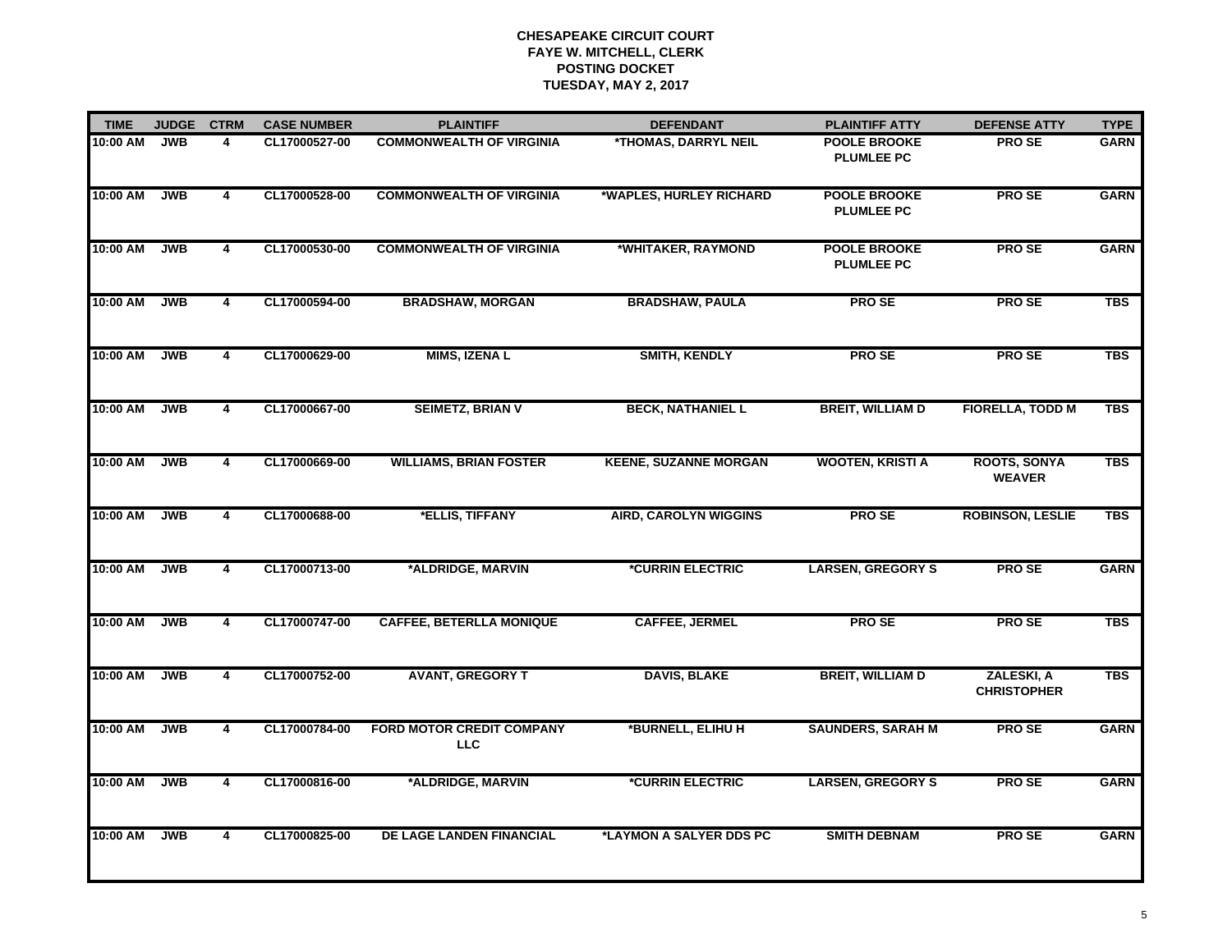| <b>TIME</b> | <b>JUDGE</b> | <b>CTRM</b>    | <b>CASE NUMBER</b> | <b>PLAINTIFF</b>                               | <b>DEFENDANT</b>               | <b>PLAINTIFF ATTY</b>                    | <b>DEFENSE ATTY</b>                  | <b>TYPE</b> |
|-------------|--------------|----------------|--------------------|------------------------------------------------|--------------------------------|------------------------------------------|--------------------------------------|-------------|
| 10:00 AM    | <b>JWB</b>   | 4              | CL17000527-00      | <b>COMMONWEALTH OF VIRGINIA</b>                | *THOMAS, DARRYL NEIL           | <b>POOLE BROOKE</b><br><b>PLUMLEE PC</b> | <b>PROSE</b>                         | <b>GARN</b> |
| 10:00 AM    | <b>JWB</b>   | 4              | CL17000528-00      | <b>COMMONWEALTH OF VIRGINIA</b>                | *WAPLES, HURLEY RICHARD        | <b>POOLE BROOKE</b><br><b>PLUMLEE PC</b> | <b>PROSE</b>                         | <b>GARN</b> |
| 10:00 AM    | <b>JWB</b>   | 4              | CL17000530-00      | <b>COMMONWEALTH OF VIRGINIA</b>                | *WHITAKER, RAYMOND             | <b>POOLE BROOKE</b><br><b>PLUMLEE PC</b> | <b>PROSE</b>                         | <b>GARN</b> |
| 10:00 AM    | <b>JWB</b>   | $\overline{4}$ | CL17000594-00      | <b>BRADSHAW, MORGAN</b>                        | <b>BRADSHAW, PAULA</b>         | <b>PROSE</b>                             | <b>PROSE</b>                         | <b>TBS</b>  |
| 10:00 AM    | <b>JWB</b>   | 4              | CL17000629-00      | <b>MIMS, IZENA L</b>                           | <b>SMITH, KENDLY</b>           | <b>PROSE</b>                             | <b>PROSE</b>                         | <b>TBS</b>  |
| 10:00 AM    | <b>JWB</b>   | 4              | CL17000667-00      | <b>SEIMETZ, BRIAN V</b>                        | <b>BECK, NATHANIEL L</b>       | <b>BREIT, WILLIAM D</b>                  | <b>FIORELLA, TODD M</b>              | <b>TBS</b>  |
| 10:00 AM    | <b>JWB</b>   | 4              | CL17000669-00      | <b>WILLIAMS, BRIAN FOSTER</b>                  | <b>KEENE, SUZANNE MORGAN</b>   | <b>WOOTEN, KRISTI A</b>                  | <b>ROOTS, SONYA</b><br><b>WEAVER</b> | <b>TBS</b>  |
| 10:00 AM    | <b>JWB</b>   | 4              | CL17000688-00      | *ELLIS, TIFFANY                                | <b>AIRD, CAROLYN WIGGINS</b>   | <b>PROSE</b>                             | <b>ROBINSON, LESLIE</b>              | <b>TBS</b>  |
| 10:00 AM    | <b>JWB</b>   | 4              | CL17000713-00      | *ALDRIDGE, MARVIN                              | <i><b>*CURRIN ELECTRIC</b></i> | <b>LARSEN, GREGORY S</b>                 | <b>PROSE</b>                         | <b>GARN</b> |
| 10:00 AM    | <b>JWB</b>   | 4              | CL17000747-00      | <b>CAFFEE, BETERLLA MONIQUE</b>                | <b>CAFFEE, JERMEL</b>          | <b>PROSE</b>                             | <b>PROSE</b>                         | <b>TBS</b>  |
| 10:00 AM    | <b>JWB</b>   | 4              | CL17000752-00      | <b>AVANT, GREGORY T</b>                        | <b>DAVIS, BLAKE</b>            | <b>BREIT, WILLIAM D</b>                  | ZALESKI, A<br><b>CHRISTOPHER</b>     | <b>TBS</b>  |
| 10:00 AM    | <b>JWB</b>   | $\overline{4}$ | CL17000784-00      | <b>FORD MOTOR CREDIT COMPANY</b><br><b>LLC</b> | *BURNELL, ELIHU H              | <b>SAUNDERS, SARAH M</b>                 | <b>PROSE</b>                         | <b>GARN</b> |
| 10:00 AM    | <b>JWB</b>   | 4              | CL17000816-00      | *ALDRIDGE, MARVIN                              | <i><b>*CURRIN ELECTRIC</b></i> | <b>LARSEN, GREGORY S</b>                 | <b>PROSE</b>                         | <b>GARN</b> |
| 10:00 AM    | <b>JWB</b>   | 4              | CL17000825-00      | DE LAGE LANDEN FINANCIAL                       | *LAYMON A SALYER DDS PC        | <b>SMITH DEBNAM</b>                      | <b>PROSE</b>                         | <b>GARN</b> |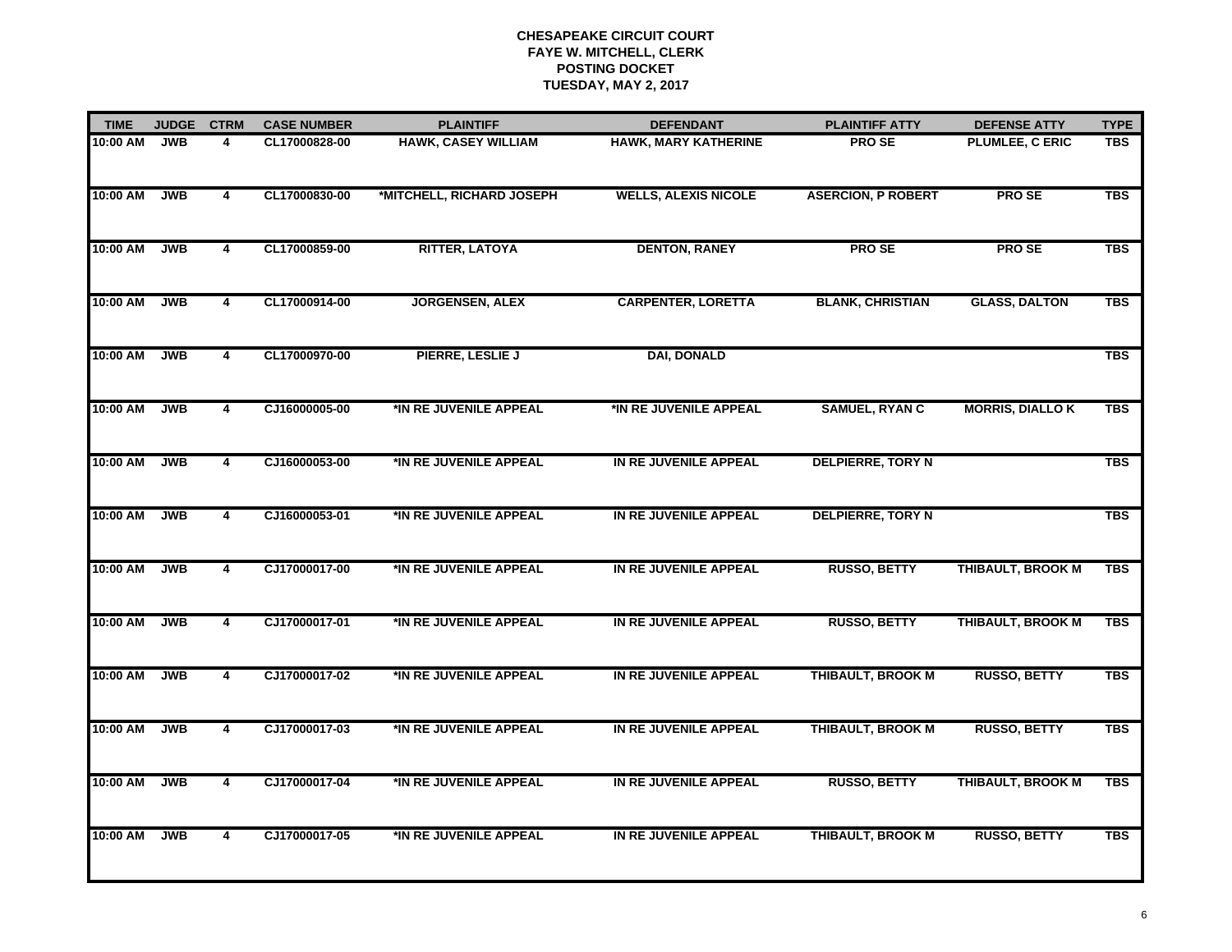| <b>TIME</b> | <b>JUDGE</b> | <b>CTRM</b>    | <b>CASE NUMBER</b> | <b>PLAINTIFF</b>           | <b>DEFENDANT</b>            | <b>PLAINTIFF ATTY</b>     | <b>DEFENSE ATTY</b>      | <b>TYPE</b> |
|-------------|--------------|----------------|--------------------|----------------------------|-----------------------------|---------------------------|--------------------------|-------------|
| 10:00 AM    | <b>JWB</b>   | 4              | CL17000828-00      | <b>HAWK, CASEY WILLIAM</b> | <b>HAWK, MARY KATHERINE</b> | <b>PROSE</b>              | <b>PLUMLEE, C ERIC</b>   | <b>TBS</b>  |
| 10:00 AM    | <b>JWB</b>   | 4              | CL17000830-00      | *MITCHELL, RICHARD JOSEPH  | <b>WELLS, ALEXIS NICOLE</b> | <b>ASERCION, P ROBERT</b> | <b>PROSE</b>             | <b>TBS</b>  |
| 10:00 AM    | <b>JWB</b>   | 4              | CL17000859-00      | <b>RITTER, LATOYA</b>      | <b>DENTON, RANEY</b>        | <b>PROSE</b>              | <b>PROSE</b>             | <b>TBS</b>  |
| 10:00 AM    | <b>JWB</b>   | 4              | CL17000914-00      | <b>JORGENSEN, ALEX</b>     | <b>CARPENTER, LORETTA</b>   | <b>BLANK, CHRISTIAN</b>   | <b>GLASS, DALTON</b>     | <b>TBS</b>  |
| 10:00 AM    | <b>JWB</b>   | 4              | CL17000970-00      | PIERRE, LESLIE J           | <b>DAI, DONALD</b>          |                           |                          | <b>TBS</b>  |
| 10:00 AM    | <b>JWB</b>   | 4              | CJ16000005-00      | *IN RE JUVENILE APPEAL     | *IN RE JUVENILE APPEAL      | <b>SAMUEL, RYAN C</b>     | <b>MORRIS, DIALLO K</b>  | <b>TBS</b>  |
| 10:00 AM    | <b>JWB</b>   | 4              | CJ16000053-00      | *IN RE JUVENILE APPEAL     | IN RE JUVENILE APPEAL       | <b>DELPIERRE, TORY N</b>  |                          | <b>TBS</b>  |
| 10:00 AM    | <b>JWB</b>   | 4              | CJ16000053-01      | *IN RE JUVENILE APPEAL     | IN RE JUVENILE APPEAL       | <b>DELPIERRE, TORY N</b>  |                          | <b>TBS</b>  |
| 10:00 AM    | <b>JWB</b>   | $\overline{4}$ | CJ17000017-00      | *IN RE JUVENILE APPEAL     | IN RE JUVENILE APPEAL       | <b>RUSSO, BETTY</b>       | <b>THIBAULT, BROOK M</b> | <b>TBS</b>  |
| 10:00 AM    | <b>JWB</b>   | 4              | CJ17000017-01      | *IN RE JUVENILE APPEAL     | IN RE JUVENILE APPEAL       | <b>RUSSO, BETTY</b>       | THIBAULT, BROOK M        | <b>TBS</b>  |
| 10:00 AM    | <b>JWB</b>   | 4              | CJ17000017-02      | *IN RE JUVENILE APPEAL     | IN RE JUVENILE APPEAL       | <b>THIBAULT, BROOK M</b>  | <b>RUSSO, BETTY</b>      | <b>TBS</b>  |
| 10:00 AM    | <b>JWB</b>   | 4              | CJ17000017-03      | *IN RE JUVENILE APPEAL     | IN RE JUVENILE APPEAL       | THIBAULT, BROOK M         | <b>RUSSO, BETTY</b>      | <b>TBS</b>  |
| 10:00 AM    | <b>JWB</b>   | 4              | CJ17000017-04      | *IN RE JUVENILE APPEAL     | IN RE JUVENILE APPEAL       | <b>RUSSO, BETTY</b>       | <b>THIBAULT, BROOK M</b> | <b>TBS</b>  |
| 10:00 AM    | <b>JWB</b>   | $\overline{4}$ | CJ17000017-05      | *IN RE JUVENILE APPEAL     | IN RE JUVENILE APPEAL       | <b>THIBAULT, BROOK M</b>  | <b>RUSSO, BETTY</b>      | <b>TBS</b>  |